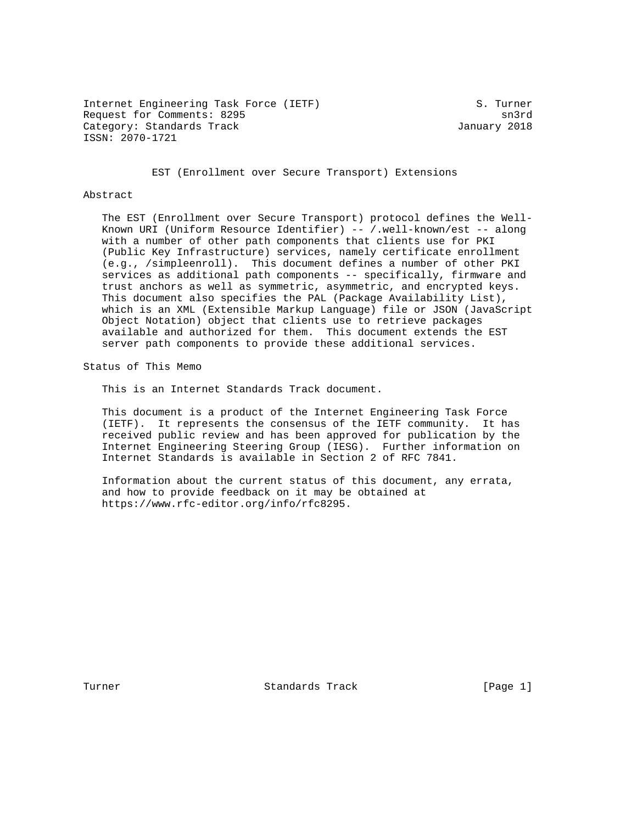Internet Engineering Task Force (IETF) S. Turner Request for Comments: 8295 sn3rd Category: Standards Track January 2018 ISSN: 2070-1721

EST (Enrollment over Secure Transport) Extensions

#### Abstract

 The EST (Enrollment over Secure Transport) protocol defines the Well- Known URI (Uniform Resource Identifier) -- /.well-known/est -- along with a number of other path components that clients use for PKI (Public Key Infrastructure) services, namely certificate enrollment (e.g., /simpleenroll). This document defines a number of other PKI services as additional path components -- specifically, firmware and trust anchors as well as symmetric, asymmetric, and encrypted keys. This document also specifies the PAL (Package Availability List), which is an XML (Extensible Markup Language) file or JSON (JavaScript Object Notation) object that clients use to retrieve packages available and authorized for them. This document extends the EST server path components to provide these additional services.

Status of This Memo

This is an Internet Standards Track document.

 This document is a product of the Internet Engineering Task Force (IETF). It represents the consensus of the IETF community. It has received public review and has been approved for publication by the Internet Engineering Steering Group (IESG). Further information on Internet Standards is available in Section 2 of RFC 7841.

 Information about the current status of this document, any errata, and how to provide feedback on it may be obtained at https://www.rfc-editor.org/info/rfc8295.

Turner Standards Track [Page 1]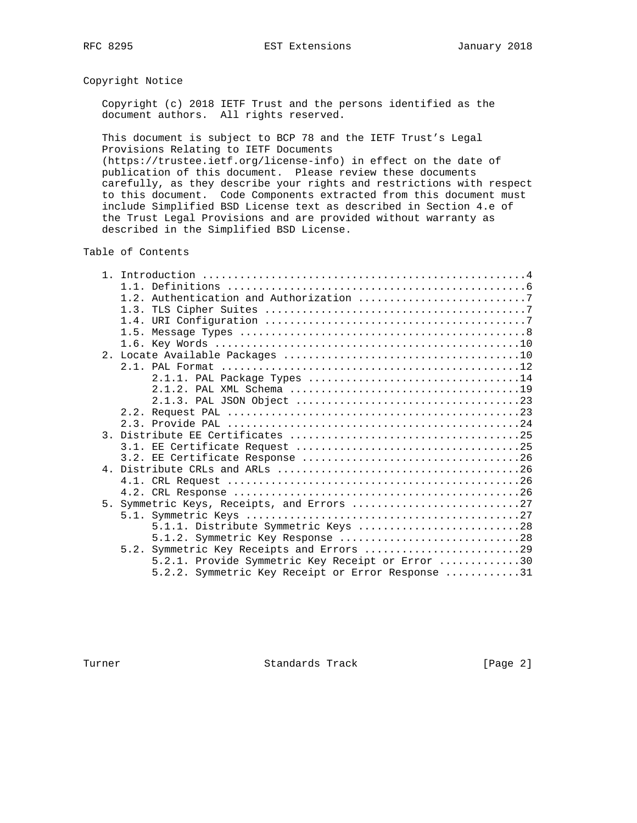# Copyright Notice

 Copyright (c) 2018 IETF Trust and the persons identified as the document authors. All rights reserved.

 This document is subject to BCP 78 and the IETF Trust's Legal Provisions Relating to IETF Documents

 (https://trustee.ietf.org/license-info) in effect on the date of publication of this document. Please review these documents carefully, as they describe your rights and restrictions with respect to this document. Code Components extracted from this document must include Simplified BSD License text as described in Section 4.e of the Trust Legal Provisions and are provided without warranty as described in the Simplified BSD License.

Table of Contents

| 2.1.1. PAL Package Types 14                       |
|---------------------------------------------------|
|                                                   |
|                                                   |
|                                                   |
|                                                   |
|                                                   |
|                                                   |
|                                                   |
|                                                   |
|                                                   |
|                                                   |
| 5. Symmetric Keys, Receipts, and Errors 27        |
|                                                   |
| 5.1.1. Distribute Symmetric Keys 28               |
| 5.1.2. Symmetric Key Response 28                  |
|                                                   |
|                                                   |
| 5.2.1. Provide Symmetric Key Receipt or Error 30  |
| 5.2.2. Symmetric Key Receipt or Error Response 31 |

Turner Standards Track [Page 2]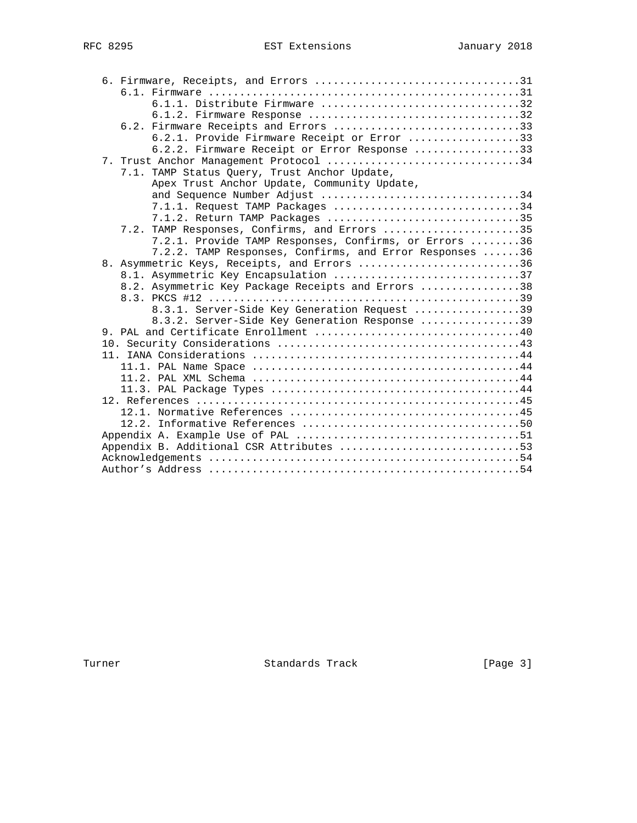|  | 6.1.1. Distribute Firmware 32                           |
|--|---------------------------------------------------------|
|  | 6.1.2. Firmware Response 32                             |
|  | 6.2. Firmware Receipts and Errors 33                    |
|  | 6.2.1. Provide Firmware Receipt or Error 33             |
|  | 6.2.2. Firmware Receipt or Error Response 33            |
|  | 7. Trust Anchor Management Protocol 34                  |
|  | 7.1. TAMP Status Query, Trust Anchor Update,            |
|  | Apex Trust Anchor Update, Community Update,             |
|  | and Sequence Number Adjust 34                           |
|  | $7.1.1.$ Request TAMP Packages 34                       |
|  | 7.1.2. Return TAMP Packages 35                          |
|  | 7.2. TAMP Responses, Confirms, and Errors 35            |
|  | 7.2.1. Provide TAMP Responses, Confirms, or Errors 36   |
|  | 7.2.2. TAMP Responses, Confirms, and Error Responses 36 |
|  | 8. Asymmetric Keys, Receipts, and Errors 36             |
|  | 8.1. Asymmetric Key Encapsulation 37                    |
|  | 8.2. Asymmetric Key Package Receipts and Errors 38      |
|  |                                                         |
|  | 8.3.1. Server-Side Key Generation Request 39            |
|  | 8.3.2. Server-Side Key Generation Response 39           |
|  |                                                         |
|  |                                                         |
|  |                                                         |
|  |                                                         |
|  |                                                         |
|  |                                                         |
|  |                                                         |
|  |                                                         |
|  |                                                         |
|  |                                                         |
|  | Appendix B. Additional CSR Attributes 53                |
|  |                                                         |
|  |                                                         |

Turner Standards Track [Page 3]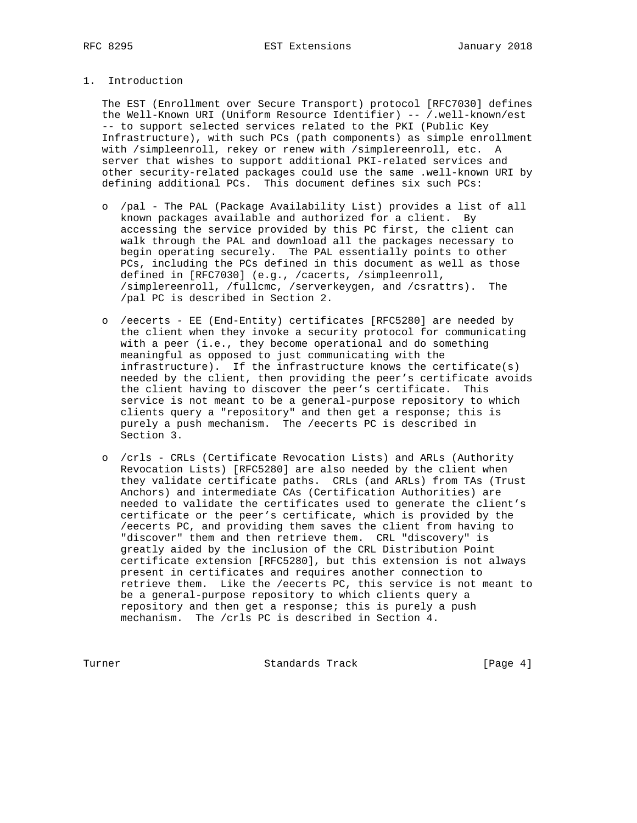# 1. Introduction

 The EST (Enrollment over Secure Transport) protocol [RFC7030] defines the Well-Known URI (Uniform Resource Identifier) -- /.well-known/est -- to support selected services related to the PKI (Public Key Infrastructure), with such PCs (path components) as simple enrollment with /simpleenroll, rekey or renew with /simplereenroll, etc. A server that wishes to support additional PKI-related services and other security-related packages could use the same .well-known URI by defining additional PCs. This document defines six such PCs:

- o /pal The PAL (Package Availability List) provides a list of all known packages available and authorized for a client. By accessing the service provided by this PC first, the client can walk through the PAL and download all the packages necessary to begin operating securely. The PAL essentially points to other PCs, including the PCs defined in this document as well as those defined in [RFC7030] (e.g., /cacerts, /simpleenroll, /simplereenroll, /fullcmc, /serverkeygen, and /csrattrs). The /pal PC is described in Section 2.
- o /eecerts EE (End-Entity) certificates [RFC5280] are needed by the client when they invoke a security protocol for communicating with a peer (i.e., they become operational and do something meaningful as opposed to just communicating with the infrastructure). If the infrastructure knows the certificate(s) needed by the client, then providing the peer's certificate avoids the client having to discover the peer's certificate. This service is not meant to be a general-purpose repository to which clients query a "repository" and then get a response; this is purely a push mechanism. The /eecerts PC is described in Section 3.
- o /crls CRLs (Certificate Revocation Lists) and ARLs (Authority Revocation Lists) [RFC5280] are also needed by the client when they validate certificate paths. CRLs (and ARLs) from TAs (Trust Anchors) and intermediate CAs (Certification Authorities) are needed to validate the certificates used to generate the client's certificate or the peer's certificate, which is provided by the /eecerts PC, and providing them saves the client from having to "discover" them and then retrieve them. CRL "discovery" is greatly aided by the inclusion of the CRL Distribution Point certificate extension [RFC5280], but this extension is not always present in certificates and requires another connection to retrieve them. Like the /eecerts PC, this service is not meant to be a general-purpose repository to which clients query a repository and then get a response; this is purely a push mechanism. The /crls PC is described in Section 4.

Turner **Standards Track** [Page 4]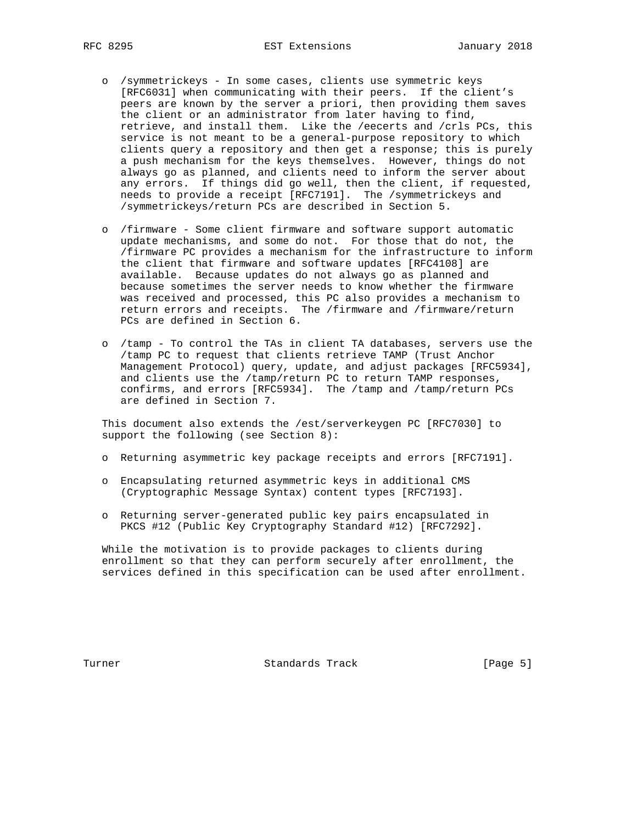- o /symmetrickeys In some cases, clients use symmetric keys [RFC6031] when communicating with their peers. If the client's peers are known by the server a priori, then providing them saves the client or an administrator from later having to find, retrieve, and install them. Like the /eecerts and /crls PCs, this service is not meant to be a general-purpose repository to which clients query a repository and then get a response; this is purely a push mechanism for the keys themselves. However, things do not always go as planned, and clients need to inform the server about any errors. If things did go well, then the client, if requested, needs to provide a receipt [RFC7191]. The /symmetrickeys and /symmetrickeys/return PCs are described in Section 5.
- o /firmware Some client firmware and software support automatic update mechanisms, and some do not. For those that do not, the /firmware PC provides a mechanism for the infrastructure to inform the client that firmware and software updates [RFC4108] are available. Because updates do not always go as planned and because sometimes the server needs to know whether the firmware was received and processed, this PC also provides a mechanism to return errors and receipts. The /firmware and /firmware/return PCs are defined in Section 6.
- o /tamp To control the TAs in client TA databases, servers use the /tamp PC to request that clients retrieve TAMP (Trust Anchor Management Protocol) query, update, and adjust packages [RFC5934], and clients use the /tamp/return PC to return TAMP responses, confirms, and errors [RFC5934]. The /tamp and /tamp/return PCs are defined in Section 7.

 This document also extends the /est/serverkeygen PC [RFC7030] to support the following (see Section 8):

- o Returning asymmetric key package receipts and errors [RFC7191].
- o Encapsulating returned asymmetric keys in additional CMS (Cryptographic Message Syntax) content types [RFC7193].
- o Returning server-generated public key pairs encapsulated in PKCS #12 (Public Key Cryptography Standard #12) [RFC7292].

 While the motivation is to provide packages to clients during enrollment so that they can perform securely after enrollment, the services defined in this specification can be used after enrollment.

Turner Standards Track [Page 5]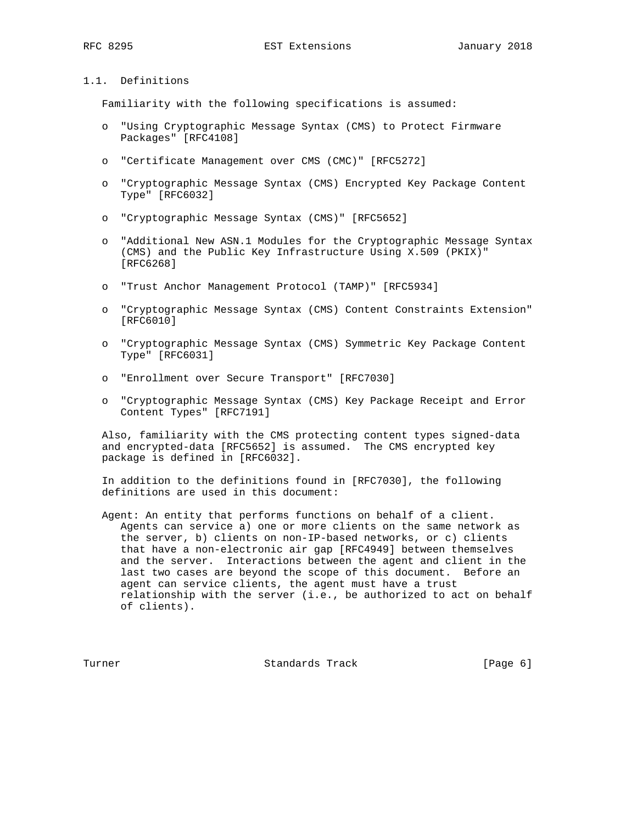# 1.1. Definitions

Familiarity with the following specifications is assumed:

- o "Using Cryptographic Message Syntax (CMS) to Protect Firmware Packages" [RFC4108]
- o "Certificate Management over CMS (CMC)" [RFC5272]
- o "Cryptographic Message Syntax (CMS) Encrypted Key Package Content Type" [RFC6032]
- o "Cryptographic Message Syntax (CMS)" [RFC5652]
- o "Additional New ASN.1 Modules for the Cryptographic Message Syntax (CMS) and the Public Key Infrastructure Using X.509 (PKIX)" [RFC6268]
- o "Trust Anchor Management Protocol (TAMP)" [RFC5934]
- o "Cryptographic Message Syntax (CMS) Content Constraints Extension" [RFC6010]
- o "Cryptographic Message Syntax (CMS) Symmetric Key Package Content Type" [RFC6031]
- o "Enrollment over Secure Transport" [RFC7030]
- o "Cryptographic Message Syntax (CMS) Key Package Receipt and Error Content Types" [RFC7191]

 Also, familiarity with the CMS protecting content types signed-data and encrypted-data [RFC5652] is assumed. The CMS encrypted key package is defined in [RFC6032].

 In addition to the definitions found in [RFC7030], the following definitions are used in this document:

 Agent: An entity that performs functions on behalf of a client. Agents can service a) one or more clients on the same network as the server, b) clients on non-IP-based networks, or c) clients that have a non-electronic air gap [RFC4949] between themselves and the server. Interactions between the agent and client in the last two cases are beyond the scope of this document. Before an agent can service clients, the agent must have a trust relationship with the server (i.e., be authorized to act on behalf of clients).

Turner Standards Track [Page 6]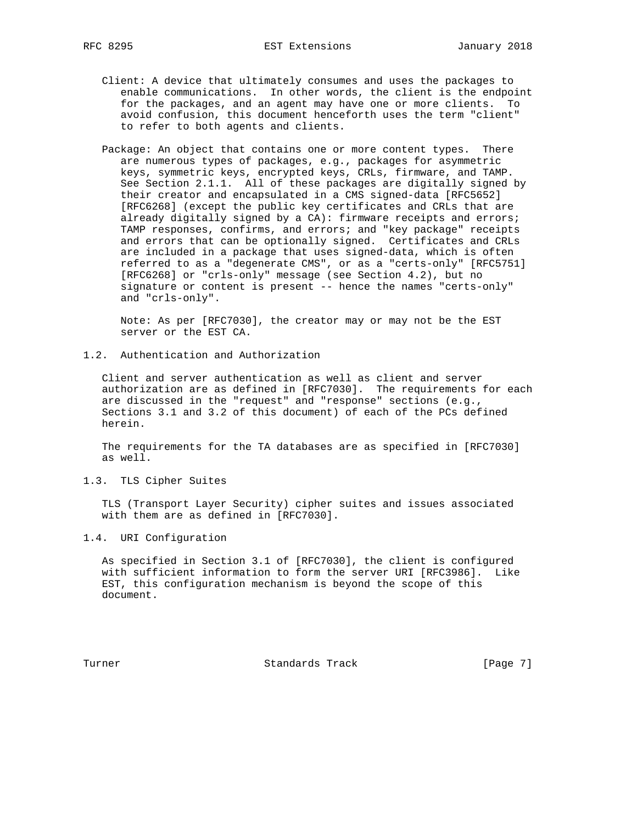- Client: A device that ultimately consumes and uses the packages to enable communications. In other words, the client is the endpoint for the packages, and an agent may have one or more clients. To avoid confusion, this document henceforth uses the term "client" to refer to both agents and clients.
- Package: An object that contains one or more content types. There are numerous types of packages, e.g., packages for asymmetric keys, symmetric keys, encrypted keys, CRLs, firmware, and TAMP. See Section 2.1.1. All of these packages are digitally signed by their creator and encapsulated in a CMS signed-data [RFC5652] [RFC6268] (except the public key certificates and CRLs that are already digitally signed by a CA): firmware receipts and errors; TAMP responses, confirms, and errors; and "key package" receipts and errors that can be optionally signed. Certificates and CRLs are included in a package that uses signed-data, which is often referred to as a "degenerate CMS", or as a "certs-only" [RFC5751] [RFC6268] or "crls-only" message (see Section 4.2), but no signature or content is present -- hence the names "certs-only" and "crls-only".

 Note: As per [RFC7030], the creator may or may not be the EST server or the EST CA.

1.2. Authentication and Authorization

 Client and server authentication as well as client and server authorization are as defined in [RFC7030]. The requirements for each are discussed in the "request" and "response" sections (e.g., Sections 3.1 and 3.2 of this document) of each of the PCs defined herein.

 The requirements for the TA databases are as specified in [RFC7030] as well.

1.3. TLS Cipher Suites

 TLS (Transport Layer Security) cipher suites and issues associated with them are as defined in [RFC7030].

1.4. URI Configuration

 As specified in Section 3.1 of [RFC7030], the client is configured with sufficient information to form the server URI [RFC3986]. Like EST, this configuration mechanism is beyond the scope of this document.

Turner Standards Track [Page 7]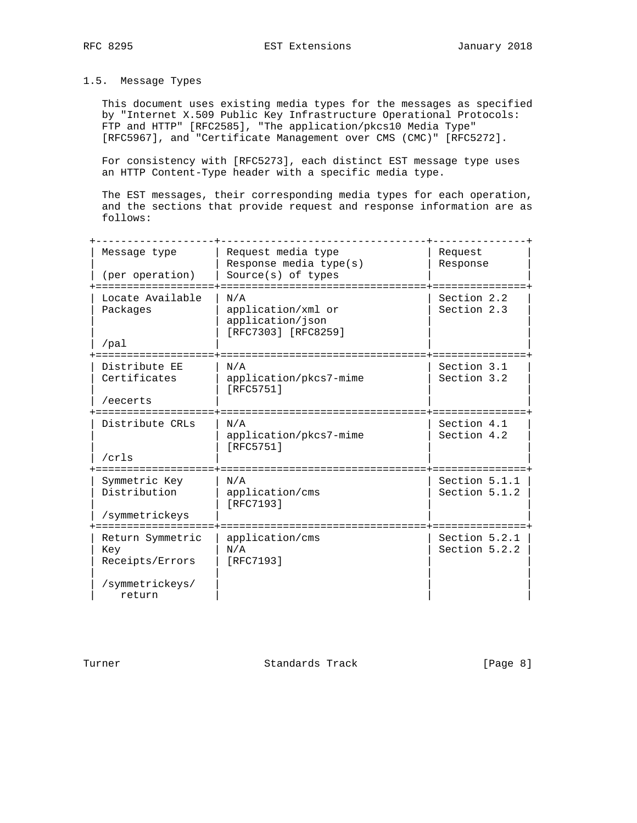# 1.5. Message Types

 This document uses existing media types for the messages as specified by "Internet X.509 Public Key Infrastructure Operational Protocols: FTP and HTTP" [RFC2585], "The application/pkcs10 Media Type" [RFC5967], and "Certificate Management over CMS (CMC)" [RFC5272].

 For consistency with [RFC5273], each distinct EST message type uses an HTTP Content-Type header with a specific media type.

 The EST messages, their corresponding media types for each operation, and the sections that provide request and response information are as follows:

| Message type<br>(per operation)                                         | Request media type<br>Response media $type(s)$<br>$Source(s)$ of types | Request<br>Response            |
|-------------------------------------------------------------------------|------------------------------------------------------------------------|--------------------------------|
| Locate Available<br>Packages<br>$/$ pal                                 | N/A<br>application/xml or<br>application/json<br>[RFC7303] [RFC8259]   | Section 2.2<br>Section 2.3     |
| Distribute EE<br>Certificates<br>/eecerts                               | N/A<br>application/pkcs7-mime<br>[RFC5751]                             | Section 3.1<br>Section 3.2     |
| Distribute CRLs<br>/crls                                                | N/A<br>application/pkcs7-mime<br>[RFC5751]                             | Section 4.1<br>Section 4.2     |
| Symmetric Key<br>Distribution<br>/symmetrickeys                         | N/A<br>application/cms<br>[RFC7193]                                    | Section 5.1.1<br>Section 5.1.2 |
| Return Symmetric<br>Key<br>Receipts/Errors<br>/symmetrickeys/<br>return | application/cms<br>N/A<br>[RFC7193]                                    | Section 5.2.1<br>Section 5.2.2 |

Turner **Standards Track** [Page 8]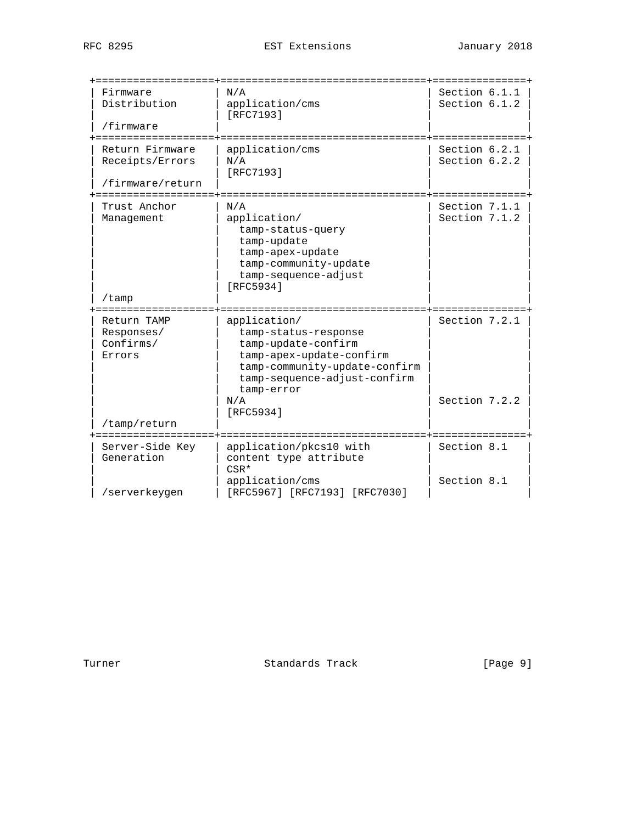| Firmware         | N/A                              | Section 6.1.1 |
|------------------|----------------------------------|---------------|
| Distribution     | application/cms                  | Section 6.1.2 |
|                  | [RFC7193]                        |               |
| /firmware        |                                  |               |
|                  |                                  |               |
| Return Firmware  | application/cms                  | Section 6.2.1 |
| Receipts/Errors  | N/A                              | Section 6.2.2 |
|                  | [RFC7193]                        |               |
| /firmware/return |                                  |               |
|                  |                                  |               |
| Trust Anchor     | N/A                              | Section 7.1.1 |
| Management       | application/                     | Section 7.1.2 |
|                  | tamp-status-query                |               |
|                  | tamp-update                      |               |
|                  | tamp-apex-update                 |               |
|                  | tamp-community-update            |               |
|                  | tamp-sequence-adjust             |               |
|                  | [RFC5934]                        |               |
| /tamp            |                                  |               |
| Return TAMP      | application/                     | Section 7.2.1 |
| Responses/       | tamp-status-response             |               |
| Confirms/        | tamp-update-confirm              |               |
| Errors           | tamp-apex-update-confirm         |               |
|                  | tamp-community-update-confirm    |               |
|                  | tamp-sequence-adjust-confirm     |               |
|                  | tamp-error                       |               |
|                  | N/A                              | Section 7.2.2 |
|                  | [RFC5934]                        |               |
| /tamp/return     |                                  |               |
|                  |                                  |               |
| Server-Side Key  | application/pkcs10 with          | Section 8.1   |
| Generation       | content type attribute           |               |
|                  | $CSR*$                           |               |
|                  | application/cms                  | Section 8.1   |
| /serverkeygen    | [RFC5967] [RFC7193]<br>[RFC7030] |               |

Turner **Standards Track** [Page 9]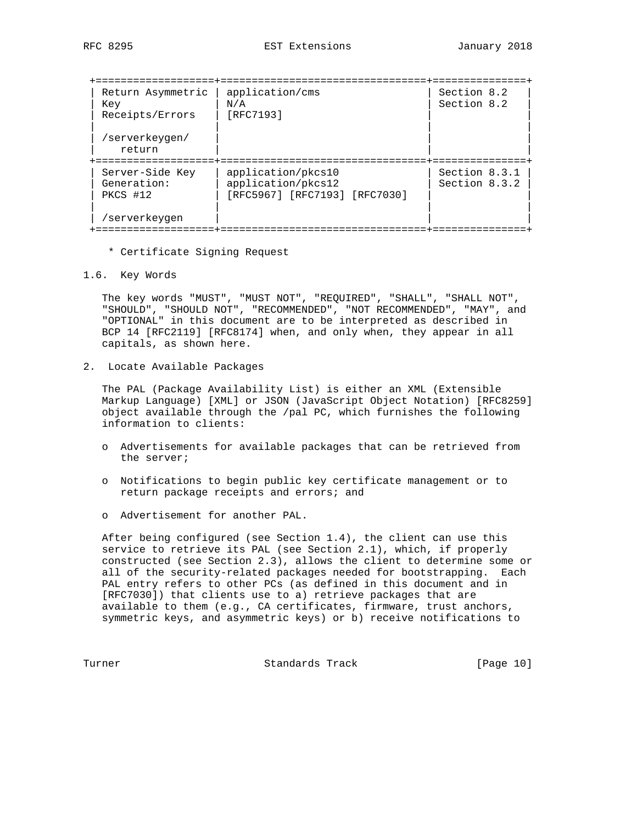| Return Asymmetric<br>Key<br>Receipts/Errors | application/cms<br>N/A<br>[RFC7193] | Section 8.2<br>Section 8.2 |
|---------------------------------------------|-------------------------------------|----------------------------|
| /serverkeygen/<br>return                    |                                     |                            |
|                                             |                                     |                            |
| Server-Side Key                             | application/pkcs10                  | Section 8.3.1              |
| Generation:                                 | application/pkcs12                  | Section 8.3.2              |
| PKCS #12                                    | [RFC5967] [RFC7193] [RFC7030]       |                            |
|                                             |                                     |                            |
| /serverkeygen                               |                                     |                            |
|                                             |                                     |                            |

\* Certificate Signing Request

1.6. Key Words

 The key words "MUST", "MUST NOT", "REQUIRED", "SHALL", "SHALL NOT", "SHOULD", "SHOULD NOT", "RECOMMENDED", "NOT RECOMMENDED", "MAY", and "OPTIONAL" in this document are to be interpreted as described in BCP 14 [RFC2119] [RFC8174] when, and only when, they appear in all capitals, as shown here.

2. Locate Available Packages

 The PAL (Package Availability List) is either an XML (Extensible Markup Language) [XML] or JSON (JavaScript Object Notation) [RFC8259] object available through the /pal PC, which furnishes the following information to clients:

- o Advertisements for available packages that can be retrieved from the server;
- o Notifications to begin public key certificate management or to return package receipts and errors; and
- o Advertisement for another PAL.

 After being configured (see Section 1.4), the client can use this service to retrieve its PAL (see Section 2.1), which, if properly constructed (see Section 2.3), allows the client to determine some or all of the security-related packages needed for bootstrapping. Each PAL entry refers to other PCs (as defined in this document and in [RFC7030]) that clients use to a) retrieve packages that are available to them (e.g., CA certificates, firmware, trust anchors, symmetric keys, and asymmetric keys) or b) receive notifications to

Turner Standards Track [Page 10]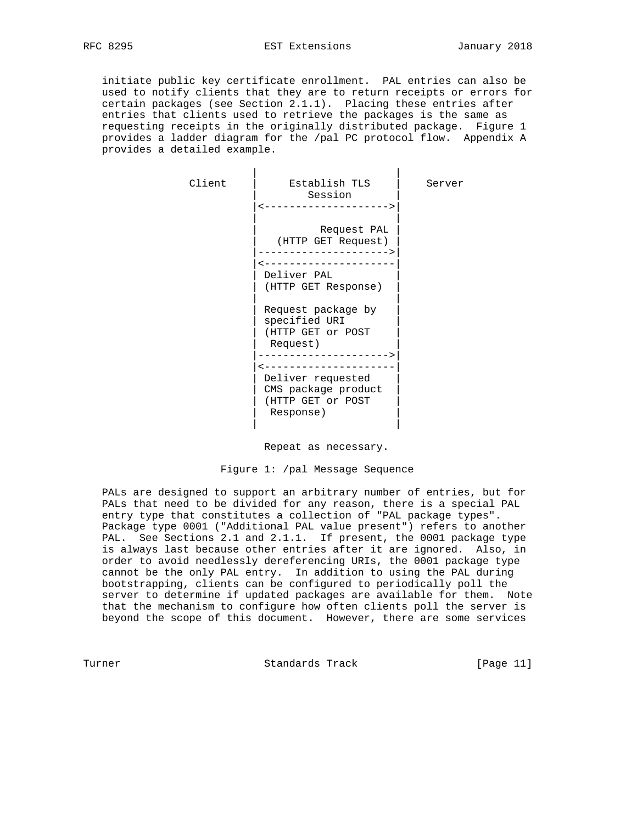initiate public key certificate enrollment. PAL entries can also be used to notify clients that they are to return receipts or errors for certain packages (see Section 2.1.1). Placing these entries after entries that clients used to retrieve the packages is the same as requesting receipts in the originally distributed package. Figure 1 provides a ladder diagram for the /pal PC protocol flow. Appendix A provides a detailed example.

| Client | Establish TLS<br>Session<br>--------------------->                                          | Server |
|--------|---------------------------------------------------------------------------------------------|--------|
|        | Request PAL<br>(HTTP GET Request)<br>---------------<br>Deliver PAL                         |        |
|        | (HTTP GET Response)<br>Request package by<br>specified URI<br>(HTTP GET or POST<br>Request) |        |
|        | Deliver requested<br>CMS package product<br>(HTTP GET or POST<br>Response)                  |        |

Repeat as necessary.

Figure 1: /pal Message Sequence

 PALs are designed to support an arbitrary number of entries, but for PALs that need to be divided for any reason, there is a special PAL entry type that constitutes a collection of "PAL package types". Package type 0001 ("Additional PAL value present") refers to another PAL. See Sections 2.1 and 2.1.1. If present, the 0001 package type is always last because other entries after it are ignored. Also, in order to avoid needlessly dereferencing URIs, the 0001 package type cannot be the only PAL entry. In addition to using the PAL during bootstrapping, clients can be configured to periodically poll the server to determine if updated packages are available for them. Note that the mechanism to configure how often clients poll the server is beyond the scope of this document. However, there are some services

Turner Standards Track [Page 11]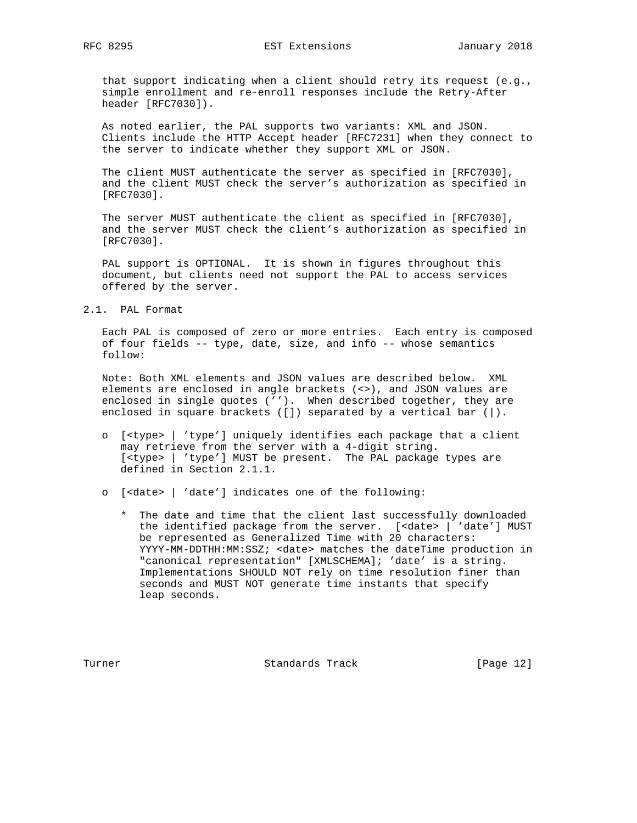that support indicating when a client should retry its request (e.g., simple enrollment and re-enroll responses include the Retry-After header [RFC7030]).

 As noted earlier, the PAL supports two variants: XML and JSON. Clients include the HTTP Accept header [RFC7231] when they connect to the server to indicate whether they support XML or JSON.

 The client MUST authenticate the server as specified in [RFC7030], and the client MUST check the server's authorization as specified in [RFC7030].

 The server MUST authenticate the client as specified in [RFC7030], and the server MUST check the client's authorization as specified in [RFC7030].

 PAL support is OPTIONAL. It is shown in figures throughout this document, but clients need not support the PAL to access services offered by the server.

2.1. PAL Format

 Each PAL is composed of zero or more entries. Each entry is composed of four fields -- type, date, size, and info -- whose semantics follow:

 Note: Both XML elements and JSON values are described below. XML elements are enclosed in angle brackets (<>), and JSON values are enclosed in single quotes (''). When described together, they are enclosed in square brackets ([]) separated by a vertical bar (|).

- o [<type> | 'type'] uniquely identifies each package that a client may retrieve from the server with a 4-digit string. [<type> | 'type'] MUST be present. The PAL package types are defined in Section 2.1.1.
- o [<date> | 'date'] indicates one of the following:
	- \* The date and time that the client last successfully downloaded the identified package from the server. [<date> | 'date'] MUST be represented as Generalized Time with 20 characters: YYYY-MM-DDTHH:MM:SSZ; <date> matches the dateTime production in "canonical representation" [XMLSCHEMA]; 'date' is a string. Implementations SHOULD NOT rely on time resolution finer than seconds and MUST NOT generate time instants that specify leap seconds.

Turner **Standards Track** [Page 12]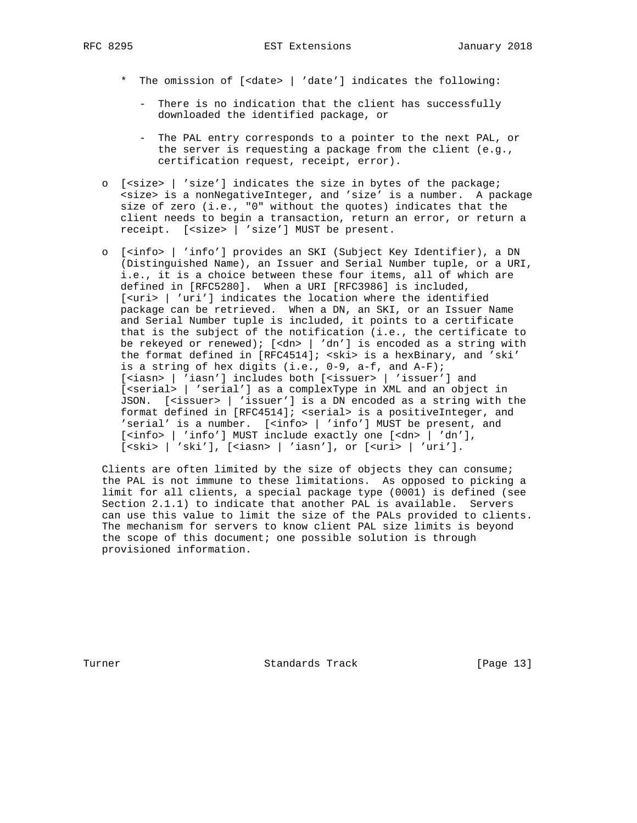- - \* The omission of [<date> | 'date'] indicates the following:
		- There is no indication that the client has successfully downloaded the identified package, or
		- The PAL entry corresponds to a pointer to the next PAL, or the server is requesting a package from the client (e.g., certification request, receipt, error).
	- o [<size> | 'size'] indicates the size in bytes of the package; <size> is a nonNegativeInteger, and 'size' is a number. A package size of zero (i.e., "0" without the quotes) indicates that the client needs to begin a transaction, return an error, or return a receipt. [<size> | 'size'] MUST be present.
- o [<info> | 'info'] provides an SKI (Subject Key Identifier), a DN (Distinguished Name), an Issuer and Serial Number tuple, or a URI, i.e., it is a choice between these four items, all of which are defined in [RFC5280]. When a URI [RFC3986] is included, [<uri> | 'uri'] indicates the location where the identified package can be retrieved. When a DN, an SKI, or an Issuer Name and Serial Number tuple is included, it points to a certificate that is the subject of the notification (i.e., the certificate to be rekeyed or renewed); [<dn> | 'dn'] is encoded as a string with the format defined in [RFC4514]; <ski> is a hexBinary, and 'ski' is a string of hex digits (i.e., 0-9, a-f, and A-F); [<iasn> | 'iasn'] includes both [<issuer> | 'issuer'] and [<serial> | 'serial'] as a complexType in XML and an object in JSON. [<issuer> | 'issuer'] is a DN encoded as a string with the format defined in [RFC4514]; <serial> is a positiveInteger, and 'serial' is a number. [<info> | 'info'] MUST be present, and [<info> | 'info'] MUST include exactly one [<dn> | 'dn'], [ < ski > | 'ski'], [ < iasn > | 'iasn'], or [ < uri > | 'uri'].

 Clients are often limited by the size of objects they can consume; the PAL is not immune to these limitations. As opposed to picking a limit for all clients, a special package type (0001) is defined (see Section 2.1.1) to indicate that another PAL is available. Servers can use this value to limit the size of the PALs provided to clients. The mechanism for servers to know client PAL size limits is beyond the scope of this document; one possible solution is through provisioned information.

Turner **Standards Track** [Page 13]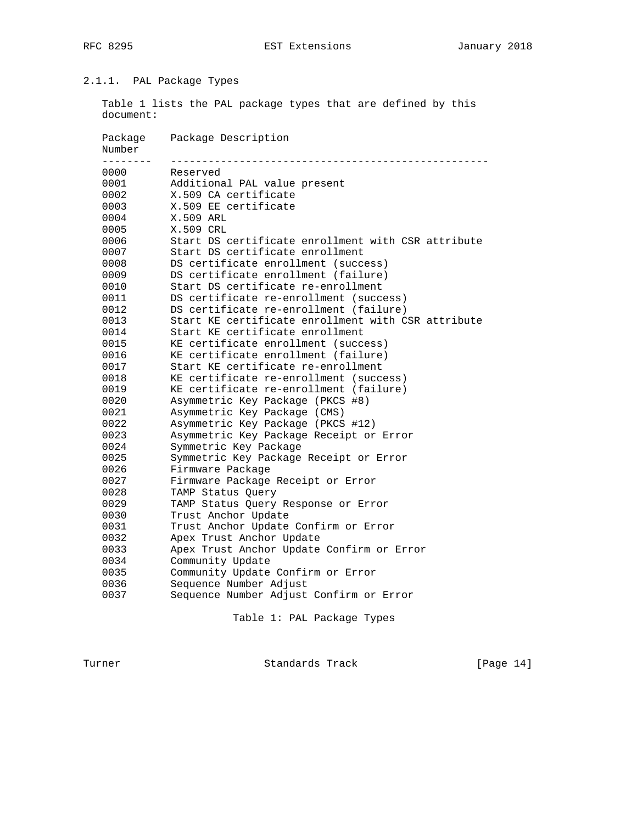# 2.1.1. PAL Package Types

 Table 1 lists the PAL package types that are defined by this document:

| Package<br>Number | Package Description                                |
|-------------------|----------------------------------------------------|
| --------<br>0000  | Reserved                                           |
| 0001              | Additional PAL value present                       |
| 0002              | X.509 CA certificate                               |
| 0003              | X.509 EE certificate                               |
| 0004              | X.509 ARL                                          |
| 0005              | X.509 CRL                                          |
| 0006              | Start DS certificate enrollment with CSR attribute |
| 0007              | Start DS certificate enrollment                    |
| 0008              | DS certificate enrollment (success)                |
| 0009              | DS certificate enrollment (failure)                |
| 0010              | Start DS certificate re-enrollment                 |
| 0011              | DS certificate re-enrollment (success)             |
| 0012              | DS certificate re-enrollment (failure)             |
| 0013              | Start KE certificate enrollment with CSR attribute |
| 0014              | Start KE certificate enrollment                    |
| 0015              | KE certificate enrollment (success)                |
| 0016              | KE certificate enrollment (failure)                |
| 0017              | Start KE certificate re-enrollment                 |
| 0018              | KE certificate re-enrollment (success)             |
| 0019              | KE certificate re-enrollment (failure)             |
| 0020              | Asymmetric Key Package (PKCS #8)                   |
| 0021              | Asymmetric Key Package (CMS)                       |
| 0022              | Asymmetric Key Package (PKCS #12)                  |
| 0023              | Asymmetric Key Package Receipt or Error            |
| 0024              | Symmetric Key Package                              |
| 0025              | Symmetric Key Package Receipt or Error             |
| 0026              | Firmware Package                                   |
| 0027              | Firmware Package Receipt or Error                  |
| 0028              | TAMP Status Query                                  |
| 0029              | TAMP Status Query Response or Error                |
| 0030              | Trust Anchor Update                                |
| 0031              | Trust Anchor Update Confirm or Error               |
| 0032              | Apex Trust Anchor Update                           |
| 0033              | Apex Trust Anchor Update Confirm or Error          |
| 0034              | Community Update                                   |
| 0035              | Community Update Confirm or Error                  |
| 0036              | Sequence Number Adjust                             |
| 0037              | Sequence Number Adjust Confirm or Error            |

Table 1: PAL Package Types

Turner **Standards Track** [Page 14]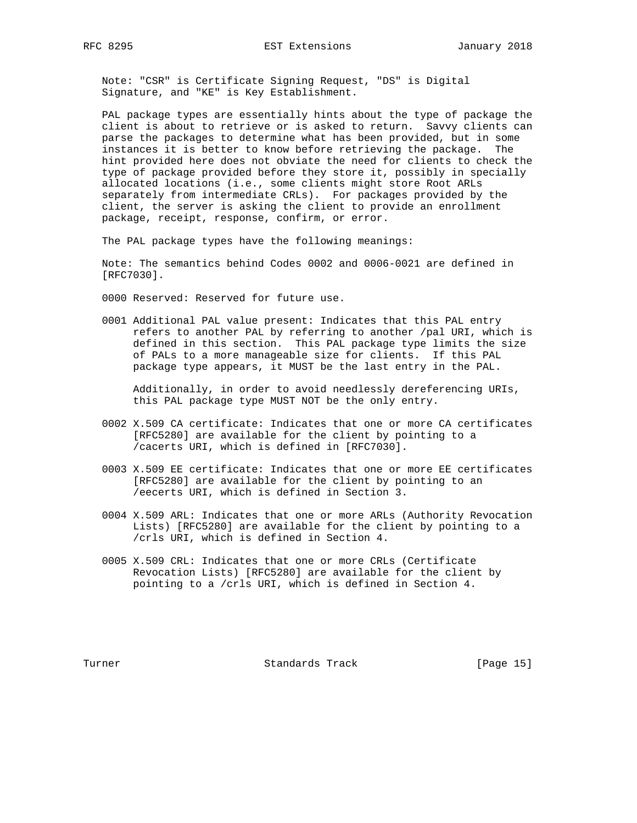Note: "CSR" is Certificate Signing Request, "DS" is Digital Signature, and "KE" is Key Establishment.

 PAL package types are essentially hints about the type of package the client is about to retrieve or is asked to return. Savvy clients can parse the packages to determine what has been provided, but in some instances it is better to know before retrieving the package. The hint provided here does not obviate the need for clients to check the type of package provided before they store it, possibly in specially allocated locations (i.e., some clients might store Root ARLs separately from intermediate CRLs). For packages provided by the client, the server is asking the client to provide an enrollment package, receipt, response, confirm, or error.

The PAL package types have the following meanings:

 Note: The semantics behind Codes 0002 and 0006-0021 are defined in [RFC7030].

0000 Reserved: Reserved for future use.

 0001 Additional PAL value present: Indicates that this PAL entry refers to another PAL by referring to another /pal URI, which is defined in this section. This PAL package type limits the size of PALs to a more manageable size for clients. If this PAL package type appears, it MUST be the last entry in the PAL.

 Additionally, in order to avoid needlessly dereferencing URIs, this PAL package type MUST NOT be the only entry.

- 0002 X.509 CA certificate: Indicates that one or more CA certificates [RFC5280] are available for the client by pointing to a /cacerts URI, which is defined in [RFC7030].
- 0003 X.509 EE certificate: Indicates that one or more EE certificates [RFC5280] are available for the client by pointing to an /eecerts URI, which is defined in Section 3.
- 0004 X.509 ARL: Indicates that one or more ARLs (Authority Revocation Lists) [RFC5280] are available for the client by pointing to a /crls URI, which is defined in Section 4.
- 0005 X.509 CRL: Indicates that one or more CRLs (Certificate Revocation Lists) [RFC5280] are available for the client by pointing to a /crls URI, which is defined in Section 4.

Turner **Standards Track** [Page 15]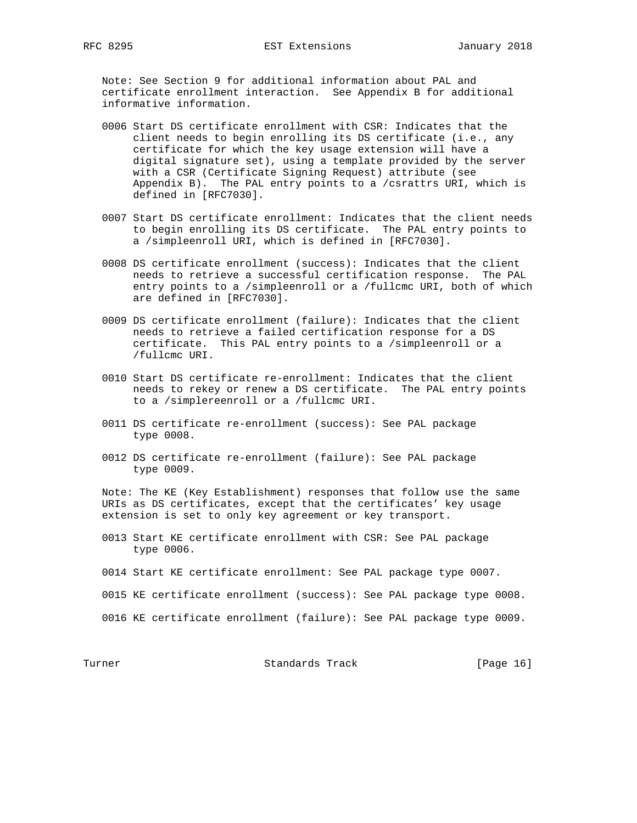Note: See Section 9 for additional information about PAL and certificate enrollment interaction. See Appendix B for additional informative information.

- 0006 Start DS certificate enrollment with CSR: Indicates that the client needs to begin enrolling its DS certificate (i.e., any certificate for which the key usage extension will have a digital signature set), using a template provided by the server with a CSR (Certificate Signing Request) attribute (see Appendix B). The PAL entry points to a /csrattrs URI, which is defined in [RFC7030].
- 0007 Start DS certificate enrollment: Indicates that the client needs to begin enrolling its DS certificate. The PAL entry points to a /simpleenroll URI, which is defined in [RFC7030].
- 0008 DS certificate enrollment (success): Indicates that the client needs to retrieve a successful certification response. The PAL entry points to a /simpleenroll or a /fullcmc URI, both of which are defined in [RFC7030].
- 0009 DS certificate enrollment (failure): Indicates that the client needs to retrieve a failed certification response for a DS certificate. This PAL entry points to a /simpleenroll or a /fullcmc URI.
- 0010 Start DS certificate re-enrollment: Indicates that the client needs to rekey or renew a DS certificate. The PAL entry points to a /simplereenroll or a /fullcmc URI.
- 0011 DS certificate re-enrollment (success): See PAL package type 0008.
- 0012 DS certificate re-enrollment (failure): See PAL package type 0009.

 Note: The KE (Key Establishment) responses that follow use the same URIs as DS certificates, except that the certificates' key usage extension is set to only key agreement or key transport.

- 0013 Start KE certificate enrollment with CSR: See PAL package type 0006.
- 0014 Start KE certificate enrollment: See PAL package type 0007.
- 0015 KE certificate enrollment (success): See PAL package type 0008.
- 0016 KE certificate enrollment (failure): See PAL package type 0009.

Turner Standards Track [Page 16]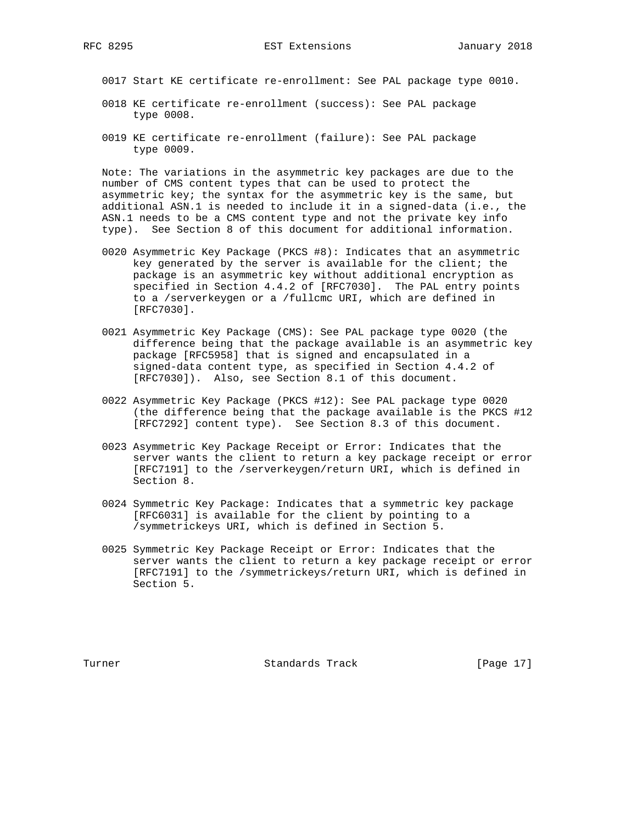0017 Start KE certificate re-enrollment: See PAL package type 0010.

- 0018 KE certificate re-enrollment (success): See PAL package type 0008.
- 0019 KE certificate re-enrollment (failure): See PAL package type 0009.

 Note: The variations in the asymmetric key packages are due to the number of CMS content types that can be used to protect the asymmetric key; the syntax for the asymmetric key is the same, but additional ASN.1 is needed to include it in a signed-data (i.e., the ASN.1 needs to be a CMS content type and not the private key info type). See Section 8 of this document for additional information.

- 0020 Asymmetric Key Package (PKCS #8): Indicates that an asymmetric key generated by the server is available for the client; the package is an asymmetric key without additional encryption as specified in Section 4.4.2 of [RFC7030]. The PAL entry points to a /serverkeygen or a /fullcmc URI, which are defined in [RFC7030].
- 0021 Asymmetric Key Package (CMS): See PAL package type 0020 (the difference being that the package available is an asymmetric key package [RFC5958] that is signed and encapsulated in a signed-data content type, as specified in Section 4.4.2 of [RFC7030]). Also, see Section 8.1 of this document.
- 0022 Asymmetric Key Package (PKCS #12): See PAL package type 0020 (the difference being that the package available is the PKCS #12 [RFC7292] content type). See Section 8.3 of this document.
- 0023 Asymmetric Key Package Receipt or Error: Indicates that the server wants the client to return a key package receipt or error [RFC7191] to the /serverkeygen/return URI, which is defined in Section 8.
- 0024 Symmetric Key Package: Indicates that a symmetric key package [RFC6031] is available for the client by pointing to a /symmetrickeys URI, which is defined in Section 5.
- 0025 Symmetric Key Package Receipt or Error: Indicates that the server wants the client to return a key package receipt or error [RFC7191] to the /symmetrickeys/return URI, which is defined in Section 5.

Turner Standards Track [Page 17]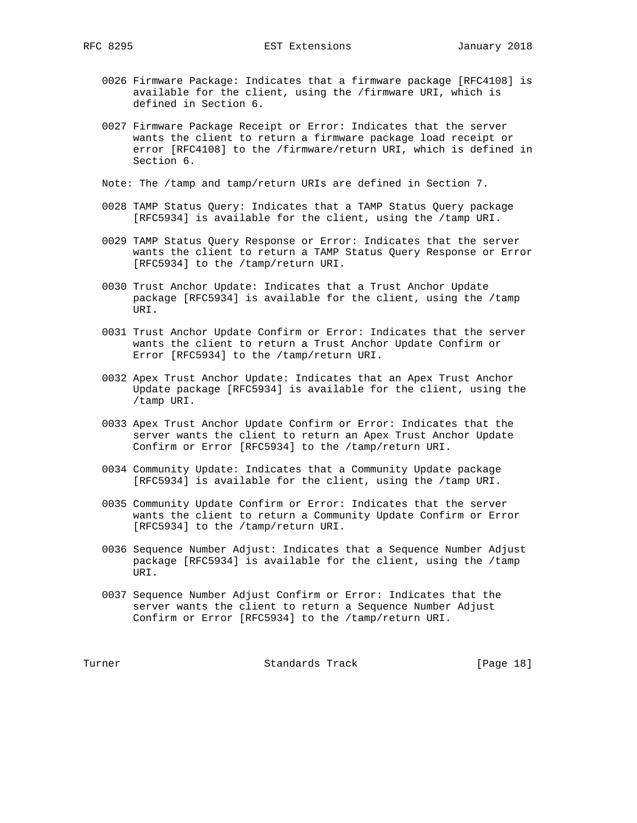- 0026 Firmware Package: Indicates that a firmware package [RFC4108] is available for the client, using the /firmware URI, which is defined in Section 6.
- 0027 Firmware Package Receipt or Error: Indicates that the server wants the client to return a firmware package load receipt or error [RFC4108] to the /firmware/return URI, which is defined in Section 6.
- Note: The /tamp and tamp/return URIs are defined in Section 7.
- 0028 TAMP Status Query: Indicates that a TAMP Status Query package [RFC5934] is available for the client, using the /tamp URI.
- 0029 TAMP Status Query Response or Error: Indicates that the server wants the client to return a TAMP Status Query Response or Error [RFC5934] to the /tamp/return URI.
- 0030 Trust Anchor Update: Indicates that a Trust Anchor Update package [RFC5934] is available for the client, using the /tamp URI.
- 0031 Trust Anchor Update Confirm or Error: Indicates that the server wants the client to return a Trust Anchor Update Confirm or Error [RFC5934] to the /tamp/return URI.
- 0032 Apex Trust Anchor Update: Indicates that an Apex Trust Anchor Update package [RFC5934] is available for the client, using the /tamp URI.
- 0033 Apex Trust Anchor Update Confirm or Error: Indicates that the server wants the client to return an Apex Trust Anchor Update Confirm or Error [RFC5934] to the /tamp/return URI.
- 0034 Community Update: Indicates that a Community Update package [RFC5934] is available for the client, using the /tamp URI.
- 0035 Community Update Confirm or Error: Indicates that the server wants the client to return a Community Update Confirm or Error [RFC5934] to the /tamp/return URI.
- 0036 Sequence Number Adjust: Indicates that a Sequence Number Adjust package [RFC5934] is available for the client, using the /tamp URI.
- 0037 Sequence Number Adjust Confirm or Error: Indicates that the server wants the client to return a Sequence Number Adjust Confirm or Error [RFC5934] to the /tamp/return URI.

Turner **Standards Track** [Page 18]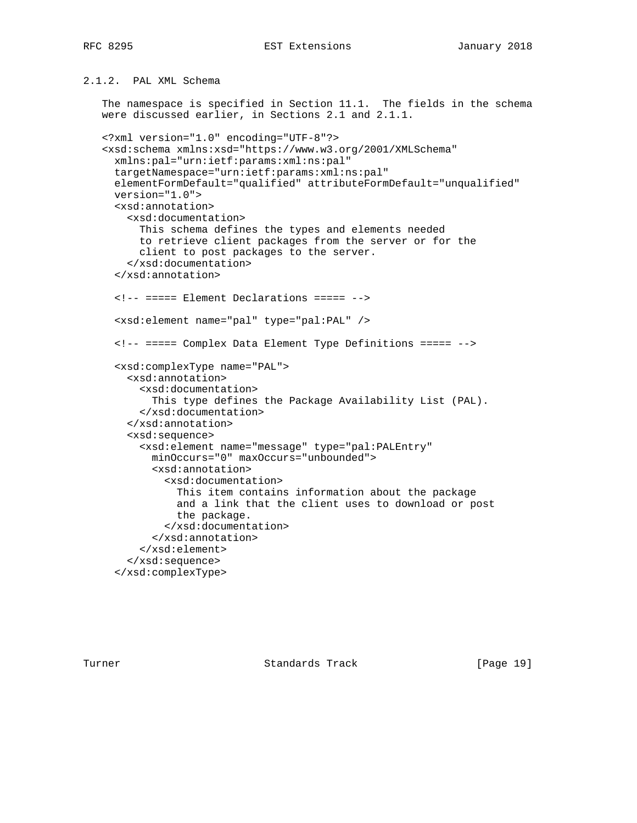# 2.1.2. PAL XML Schema

 The namespace is specified in Section 11.1. The fields in the schema were discussed earlier, in Sections 2.1 and 2.1.1.

```
 <?xml version="1.0" encoding="UTF-8"?>
 <xsd:schema xmlns:xsd="https://www.w3.org/2001/XMLSchema"
  xmlns:pal="urn:ietf:params:xml:ns:pal"
  targetNamespace="urn:ietf:params:xml:ns:pal"
  elementFormDefault="qualified" attributeFormDefault="unqualified"
  version="1.0">
   <xsd:annotation>
     <xsd:documentation>
       This schema defines the types and elements needed
       to retrieve client packages from the server or for the
       client to post packages to the server.
     </xsd:documentation>
   </xsd:annotation>
   <!-- ===== Element Declarations ===== -->
   <xsd:element name="pal" type="pal:PAL" />
   <!-- ===== Complex Data Element Type Definitions ===== -->
   <xsd:complexType name="PAL">
     <xsd:annotation>
       <xsd:documentation>
         This type defines the Package Availability List (PAL).
       </xsd:documentation>
     </xsd:annotation>
     <xsd:sequence>
       <xsd:element name="message" type="pal:PALEntry"
         minOccurs="0" maxOccurs="unbounded">
         <xsd:annotation>
           <xsd:documentation>
             This item contains information about the package
             and a link that the client uses to download or post
             the package.
           </xsd:documentation>
         </xsd:annotation>
       </xsd:element>
     </xsd:sequence>
   </xsd:complexType>
```
Turner Standards Track [Page 19]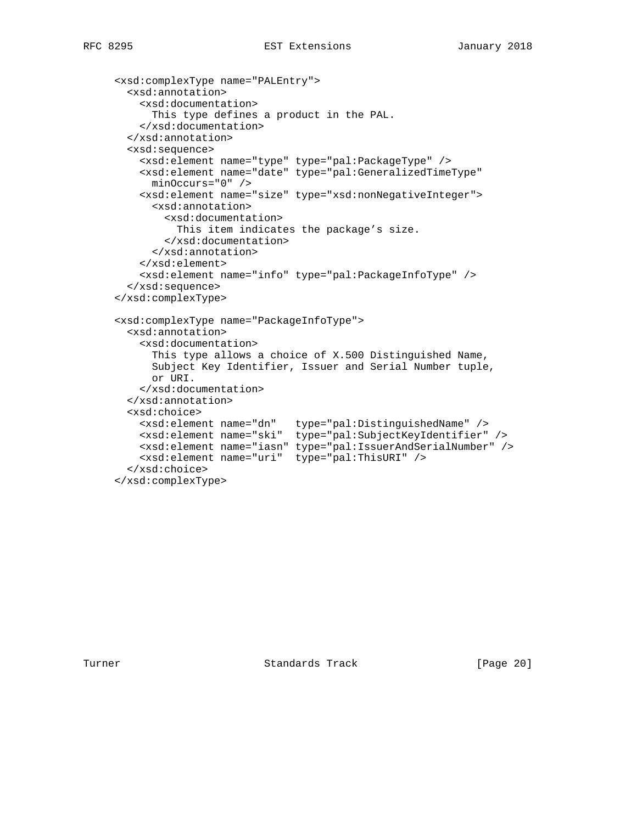```
 <xsd:complexType name="PALEntry">
  <xsd:annotation>
     <xsd:documentation>
       This type defines a product in the PAL.
     </xsd:documentation>
  </xsd:annotation>
  <xsd:sequence>
    <xsd:element name="type" type="pal:PackageType" />
    <xsd:element name="date" type="pal:GeneralizedTimeType"
      minOccurs="0" />
    <xsd:element name="size" type="xsd:nonNegativeInteger">
       <xsd:annotation>
         <xsd:documentation>
           This item indicates the package's size.
         </xsd:documentation>
       </xsd:annotation>
     </xsd:element>
     <xsd:element name="info" type="pal:PackageInfoType" />
  </xsd:sequence>
 </xsd:complexType>
 <xsd:complexType name="PackageInfoType">
  <xsd:annotation>
     <xsd:documentation>
       This type allows a choice of X.500 Distinguished Name,
       Subject Key Identifier, Issuer and Serial Number tuple,
       or URI.
     </xsd:documentation>
  </xsd:annotation>
  <xsd:choice>
    <xsd:element name="dn" type="pal:DistinguishedName" />
    <xsd:element name="ski" type="pal:SubjectKeyIdentifier" />
    <xsd:element name="iasn" type="pal:IssuerAndSerialNumber" />
    <xsd:element name="uri" type="pal:ThisURI" />
  </xsd:choice>
 </xsd:complexType>
```
Turner **Standards Track** [Page 20]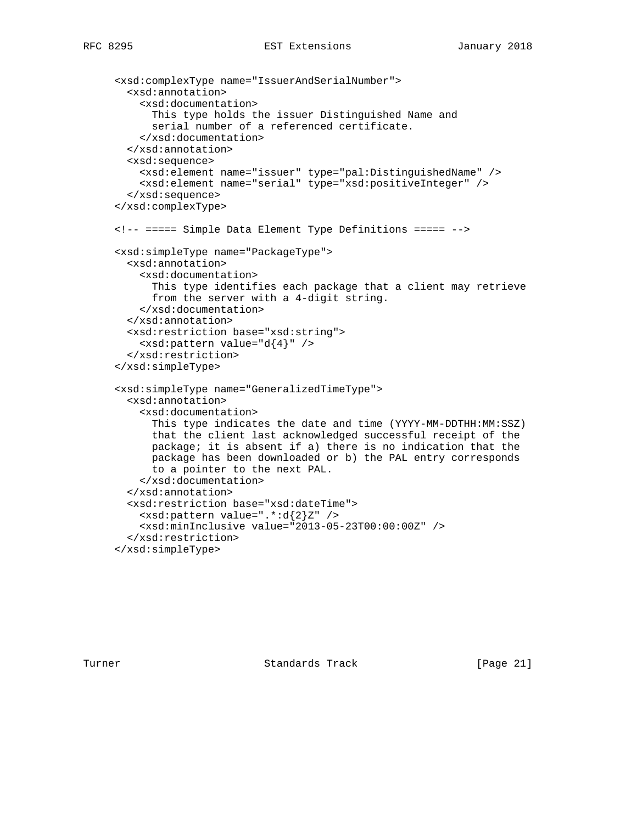```
 <xsd:complexType name="IssuerAndSerialNumber">
   <xsd:annotation>
     <xsd:documentation>
       This type holds the issuer Distinguished Name and
       serial number of a referenced certificate.
     </xsd:documentation>
   </xsd:annotation>
   <xsd:sequence>
     <xsd:element name="issuer" type="pal:DistinguishedName" />
     <xsd:element name="serial" type="xsd:positiveInteger" />
   </xsd:sequence>
 </xsd:complexType>
 <!-- ===== Simple Data Element Type Definitions ===== -->
 <xsd:simpleType name="PackageType">
   <xsd:annotation>
     <xsd:documentation>
       This type identifies each package that a client may retrieve
       from the server with a 4-digit string.
     </xsd:documentation>
   </xsd:annotation>
   <xsd:restriction base="xsd:string">
     <xsd:pattern value="d{4}" />
   </xsd:restriction>
 </xsd:simpleType>
 <xsd:simpleType name="GeneralizedTimeType">
   <xsd:annotation>
     <xsd:documentation>
       This type indicates the date and time (YYYY-MM-DDTHH:MM:SSZ)
       that the client last acknowledged successful receipt of the
       package; it is absent if a) there is no indication that the
       package has been downloaded or b) the PAL entry corresponds
       to a pointer to the next PAL.
     </xsd:documentation>
   </xsd:annotation>
   <xsd:restriction base="xsd:dateTime">
     <xsd:pattern value=".*:d{2}Z" />
     <xsd:minInclusive value="2013-05-23T00:00:00Z" />
   </xsd:restriction>
 </xsd:simpleType>
```
Turner Standards Track [Page 21]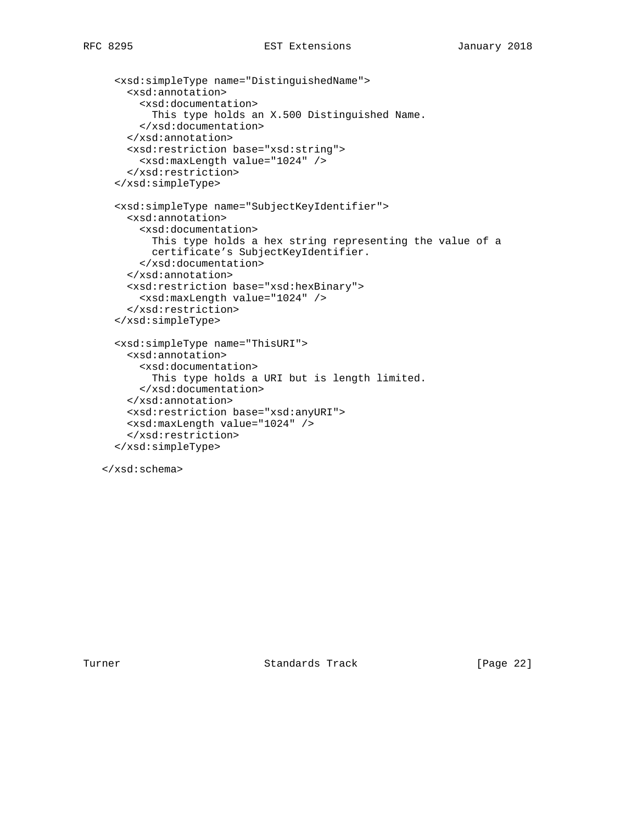```
 <xsd:simpleType name="DistinguishedName">
   <xsd:annotation>
     <xsd:documentation>
       This type holds an X.500 Distinguished Name.
     </xsd:documentation>
   </xsd:annotation>
   <xsd:restriction base="xsd:string">
     <xsd:maxLength value="1024" />
   </xsd:restriction>
 </xsd:simpleType>
 <xsd:simpleType name="SubjectKeyIdentifier">
   <xsd:annotation>
     <xsd:documentation>
       This type holds a hex string representing the value of a
       certificate's SubjectKeyIdentifier.
     </xsd:documentation>
   </xsd:annotation>
   <xsd:restriction base="xsd:hexBinary">
     <xsd:maxLength value="1024" />
   </xsd:restriction>
 </xsd:simpleType>
 <xsd:simpleType name="ThisURI">
  <xsd:annotation>
     <xsd:documentation>
       This type holds a URI but is length limited.
     </xsd:documentation>
   </xsd:annotation>
   <xsd:restriction base="xsd:anyURI">
  <xsd:maxLength value="1024" />
   </xsd:restriction>
 </xsd:simpleType>
```
</xsd:schema>

Turner Standards Track [Page 22]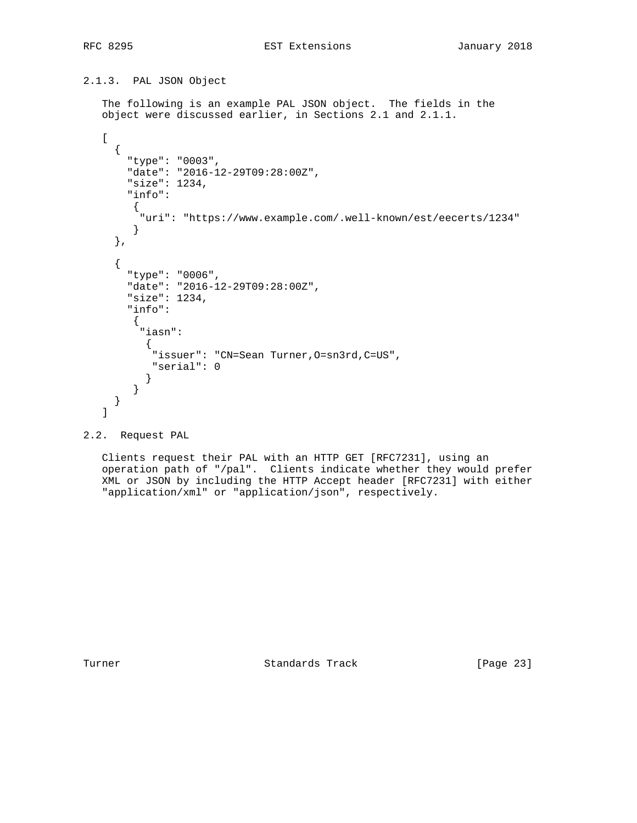# 2.1.3. PAL JSON Object

 The following is an example PAL JSON object. The fields in the object were discussed earlier, in Sections 2.1 and 2.1.1.

```
\Gamma {
        "type": "0003",
        "date": "2016-12-29T09:28:00Z",
        "size": 1234,
        "info":
        {
          "uri": "https://www.example.com/.well-known/est/eecerts/1234"
        }
      },
      {
        "type": "0006",
        "date": "2016-12-29T09:28:00Z",
        "size": 1234,
        "info":
         {
          "iasn":
\{ "issuer": "CN=Sean Turner,O=sn3rd,C=US",
            "serial": 0
           }
         }
      }
    ]
```

```
2.2. Request PAL
```
 Clients request their PAL with an HTTP GET [RFC7231], using an operation path of "/pal". Clients indicate whether they would prefer XML or JSON by including the HTTP Accept header [RFC7231] with either "application/xml" or "application/json", respectively.

Turner **Standards Track** [Page 23]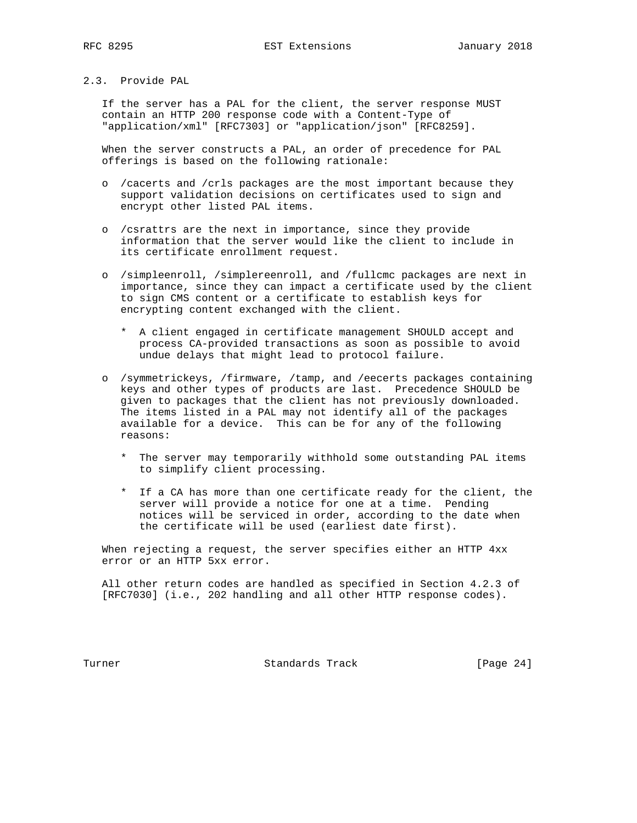## 2.3. Provide PAL

 If the server has a PAL for the client, the server response MUST contain an HTTP 200 response code with a Content-Type of "application/xml" [RFC7303] or "application/json" [RFC8259].

 When the server constructs a PAL, an order of precedence for PAL offerings is based on the following rationale:

- o /cacerts and /crls packages are the most important because they support validation decisions on certificates used to sign and encrypt other listed PAL items.
- o /csrattrs are the next in importance, since they provide information that the server would like the client to include in its certificate enrollment request.
- o /simpleenroll, /simplereenroll, and /fullcmc packages are next in importance, since they can impact a certificate used by the client to sign CMS content or a certificate to establish keys for encrypting content exchanged with the client.
	- \* A client engaged in certificate management SHOULD accept and process CA-provided transactions as soon as possible to avoid undue delays that might lead to protocol failure.
- o /symmetrickeys, /firmware, /tamp, and /eecerts packages containing keys and other types of products are last. Precedence SHOULD be given to packages that the client has not previously downloaded. The items listed in a PAL may not identify all of the packages available for a device. This can be for any of the following reasons:
	- \* The server may temporarily withhold some outstanding PAL items to simplify client processing.
	- \* If a CA has more than one certificate ready for the client, the server will provide a notice for one at a time. Pending notices will be serviced in order, according to the date when the certificate will be used (earliest date first).

 When rejecting a request, the server specifies either an HTTP 4xx error or an HTTP 5xx error.

 All other return codes are handled as specified in Section 4.2.3 of [RFC7030] (i.e., 202 handling and all other HTTP response codes).

Turner **Standards Track** [Page 24]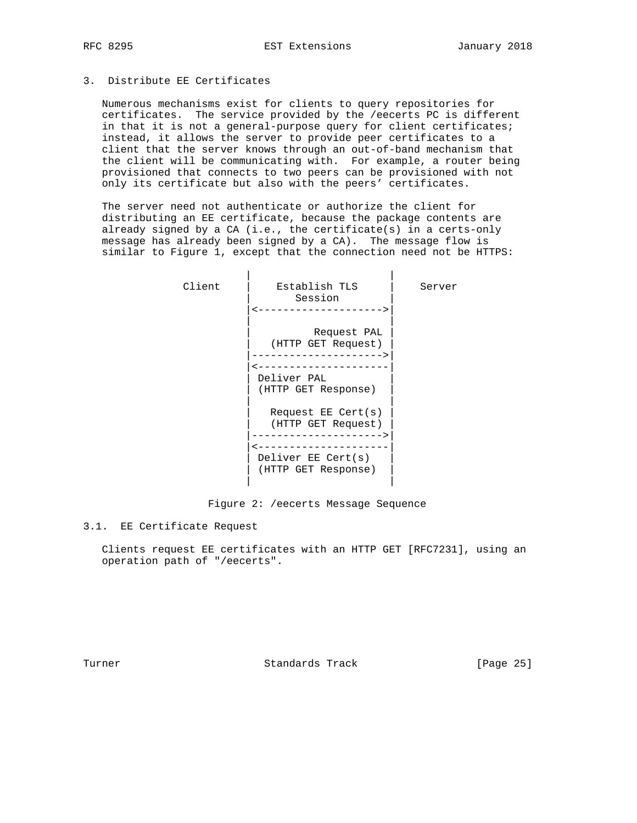# 3. Distribute EE Certificates

 Numerous mechanisms exist for clients to query repositories for certificates. The service provided by the /eecerts PC is different in that it is not a general-purpose query for client certificates; instead, it allows the server to provide peer certificates to a client that the server knows through an out-of-band mechanism that the client will be communicating with. For example, a router being provisioned that connects to two peers can be provisioned with not only its certificate but also with the peers' certificates.

 The server need not authenticate or authorize the client for distributing an EE certificate, because the package contents are already signed by a CA (i.e., the certificate(s) in a certs-only message has already been signed by a CA). The message flow is similar to Figure 1, except that the connection need not be HTTPS:

| Client | Establish TLS<br>Session                      | Server |
|--------|-----------------------------------------------|--------|
|        | Request PAL<br>(HTTP GET Request)             |        |
|        | Deliver PAL<br>(HTTP GET Response)            |        |
|        | Request $EE$ Cert $(s)$<br>(HTTP GET Request) |        |
|        | Deliver EE Cert(s)<br>(HTTP GET Response)     |        |
|        |                                               |        |

#### Figure 2: /eecerts Message Sequence

# 3.1. EE Certificate Request

 Clients request EE certificates with an HTTP GET [RFC7231], using an operation path of "/eecerts".

Turner **Standards Track** [Page 25]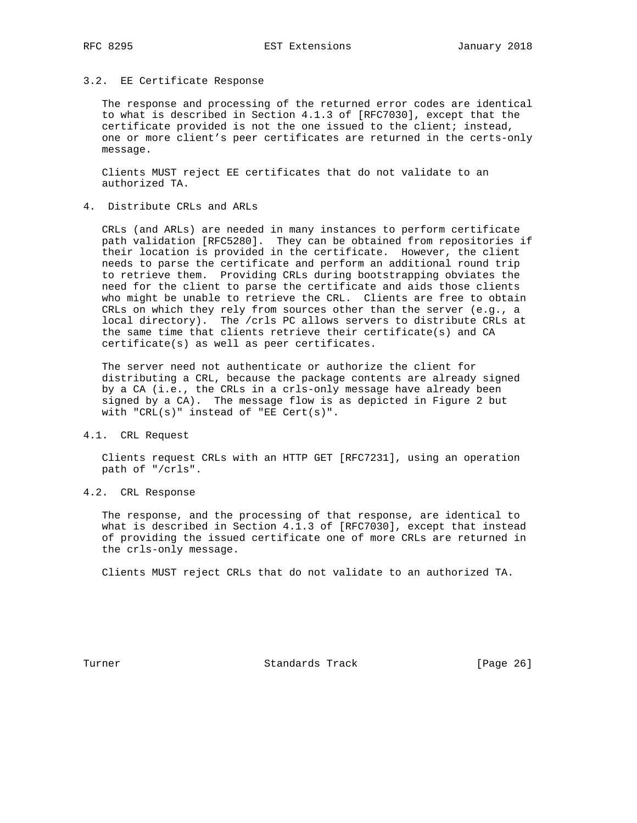#### 3.2. EE Certificate Response

 The response and processing of the returned error codes are identical to what is described in Section 4.1.3 of [RFC7030], except that the certificate provided is not the one issued to the client; instead, one or more client's peer certificates are returned in the certs-only message.

 Clients MUST reject EE certificates that do not validate to an authorized TA.

### 4. Distribute CRLs and ARLs

 CRLs (and ARLs) are needed in many instances to perform certificate path validation [RFC5280]. They can be obtained from repositories if their location is provided in the certificate. However, the client needs to parse the certificate and perform an additional round trip to retrieve them. Providing CRLs during bootstrapping obviates the need for the client to parse the certificate and aids those clients who might be unable to retrieve the CRL. Clients are free to obtain CRLs on which they rely from sources other than the server (e.g., a local directory). The /crls PC allows servers to distribute CRLs at the same time that clients retrieve their certificate(s) and CA certificate(s) as well as peer certificates.

 The server need not authenticate or authorize the client for distributing a CRL, because the package contents are already signed by a CA (i.e., the CRLs in a crls-only message have already been signed by a CA). The message flow is as depicted in Figure 2 but with "CRL(s)" instead of "EE Cert(s)".

#### 4.1. CRL Request

 Clients request CRLs with an HTTP GET [RFC7231], using an operation path of "/crls".

## 4.2. CRL Response

 The response, and the processing of that response, are identical to what is described in Section 4.1.3 of [RFC7030], except that instead of providing the issued certificate one of more CRLs are returned in the crls-only message.

Clients MUST reject CRLs that do not validate to an authorized TA.

Turner **Standards Track** [Page 26]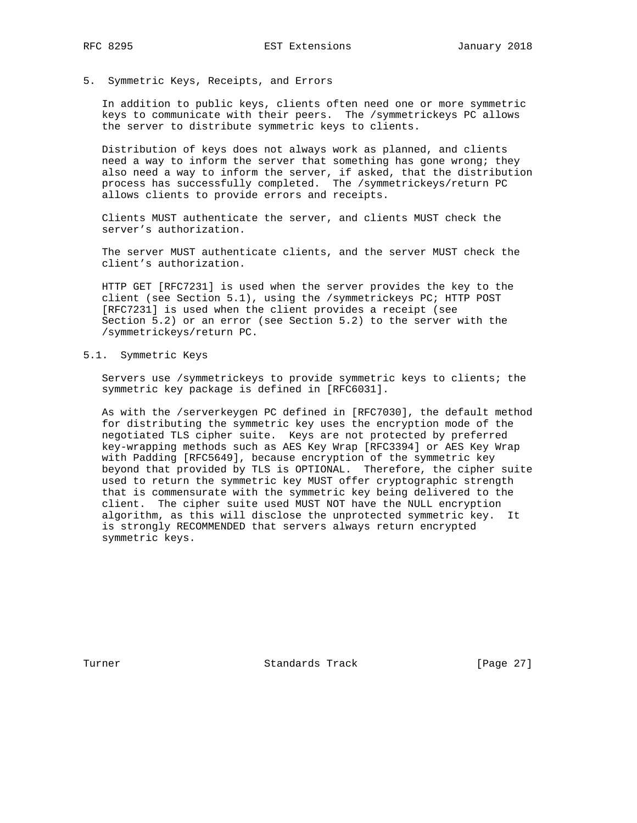5. Symmetric Keys, Receipts, and Errors

 In addition to public keys, clients often need one or more symmetric keys to communicate with their peers. The /symmetrickeys PC allows the server to distribute symmetric keys to clients.

 Distribution of keys does not always work as planned, and clients need a way to inform the server that something has gone wrong; they also need a way to inform the server, if asked, that the distribution process has successfully completed. The /symmetrickeys/return PC allows clients to provide errors and receipts.

 Clients MUST authenticate the server, and clients MUST check the server's authorization.

 The server MUST authenticate clients, and the server MUST check the client's authorization.

 HTTP GET [RFC7231] is used when the server provides the key to the client (see Section 5.1), using the /symmetrickeys PC; HTTP POST [RFC7231] is used when the client provides a receipt (see Section 5.2) or an error (see Section 5.2) to the server with the /symmetrickeys/return PC.

#### 5.1. Symmetric Keys

 Servers use /symmetrickeys to provide symmetric keys to clients; the symmetric key package is defined in [RFC6031].

 As with the /serverkeygen PC defined in [RFC7030], the default method for distributing the symmetric key uses the encryption mode of the negotiated TLS cipher suite. Keys are not protected by preferred key-wrapping methods such as AES Key Wrap [RFC3394] or AES Key Wrap with Padding [RFC5649], because encryption of the symmetric key beyond that provided by TLS is OPTIONAL. Therefore, the cipher suite used to return the symmetric key MUST offer cryptographic strength that is commensurate with the symmetric key being delivered to the client. The cipher suite used MUST NOT have the NULL encryption algorithm, as this will disclose the unprotected symmetric key. It is strongly RECOMMENDED that servers always return encrypted symmetric keys.

Turner **Standards Track** [Page 27]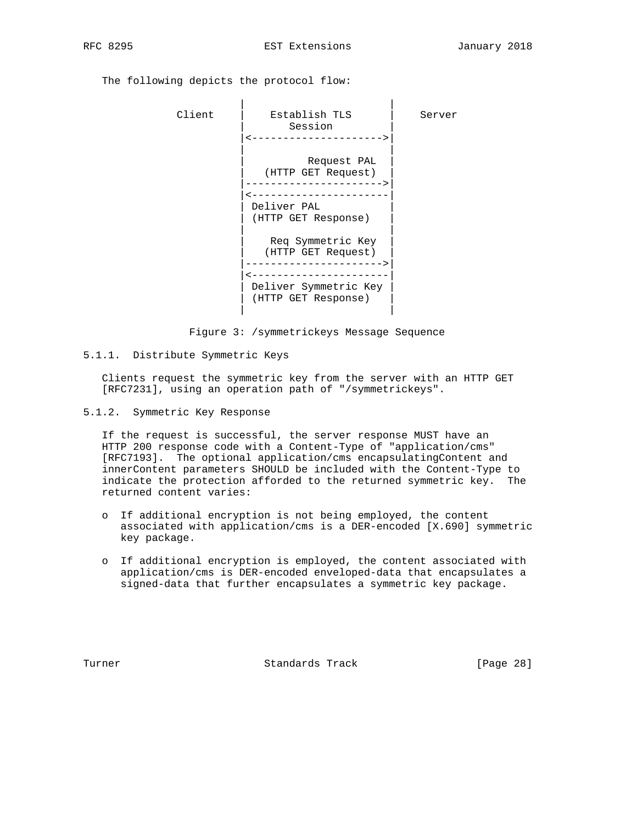The following depicts the protocol flow:

| Client | Establish TLS<br>Session                                                                | Server |
|--------|-----------------------------------------------------------------------------------------|--------|
|        | Request PAL<br>(HTTP GET Request)<br>Deliver PAL<br>(HTTP GET Response)                 |        |
|        | Req Symmetric Key<br>(HTTP GET Request)<br>Deliver Symmetric Key<br>(HTTP GET Response) |        |

Figure 3: /symmetrickeys Message Sequence

5.1.1. Distribute Symmetric Keys

 Clients request the symmetric key from the server with an HTTP GET [RFC7231], using an operation path of "/symmetrickeys".

5.1.2. Symmetric Key Response

 If the request is successful, the server response MUST have an HTTP 200 response code with a Content-Type of "application/cms" [RFC7193]. The optional application/cms encapsulatingContent and innerContent parameters SHOULD be included with the Content-Type to indicate the protection afforded to the returned symmetric key. The returned content varies:

- o If additional encryption is not being employed, the content associated with application/cms is a DER-encoded [X.690] symmetric key package.
- o If additional encryption is employed, the content associated with application/cms is DER-encoded enveloped-data that encapsulates a signed-data that further encapsulates a symmetric key package.

Turner Standards Track [Page 28]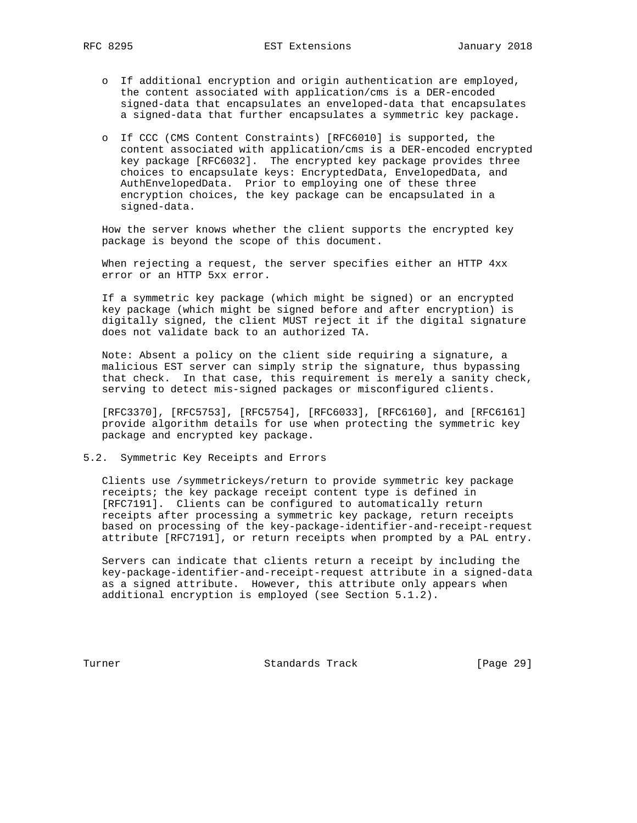- o If additional encryption and origin authentication are employed, the content associated with application/cms is a DER-encoded signed-data that encapsulates an enveloped-data that encapsulates a signed-data that further encapsulates a symmetric key package.
- o If CCC (CMS Content Constraints) [RFC6010] is supported, the content associated with application/cms is a DER-encoded encrypted key package [RFC6032]. The encrypted key package provides three choices to encapsulate keys: EncryptedData, EnvelopedData, and AuthEnvelopedData. Prior to employing one of these three encryption choices, the key package can be encapsulated in a signed-data.

 How the server knows whether the client supports the encrypted key package is beyond the scope of this document.

 When rejecting a request, the server specifies either an HTTP 4xx error or an HTTP 5xx error.

 If a symmetric key package (which might be signed) or an encrypted key package (which might be signed before and after encryption) is digitally signed, the client MUST reject it if the digital signature does not validate back to an authorized TA.

 Note: Absent a policy on the client side requiring a signature, a malicious EST server can simply strip the signature, thus bypassing that check. In that case, this requirement is merely a sanity check, serving to detect mis-signed packages or misconfigured clients.

 [RFC3370], [RFC5753], [RFC5754], [RFC6033], [RFC6160], and [RFC6161] provide algorithm details for use when protecting the symmetric key package and encrypted key package.

### 5.2. Symmetric Key Receipts and Errors

 Clients use /symmetrickeys/return to provide symmetric key package receipts; the key package receipt content type is defined in [RFC7191]. Clients can be configured to automatically return receipts after processing a symmetric key package, return receipts based on processing of the key-package-identifier-and-receipt-request attribute [RFC7191], or return receipts when prompted by a PAL entry.

 Servers can indicate that clients return a receipt by including the key-package-identifier-and-receipt-request attribute in a signed-data as a signed attribute. However, this attribute only appears when additional encryption is employed (see Section 5.1.2).

Turner **Standards Track** [Page 29]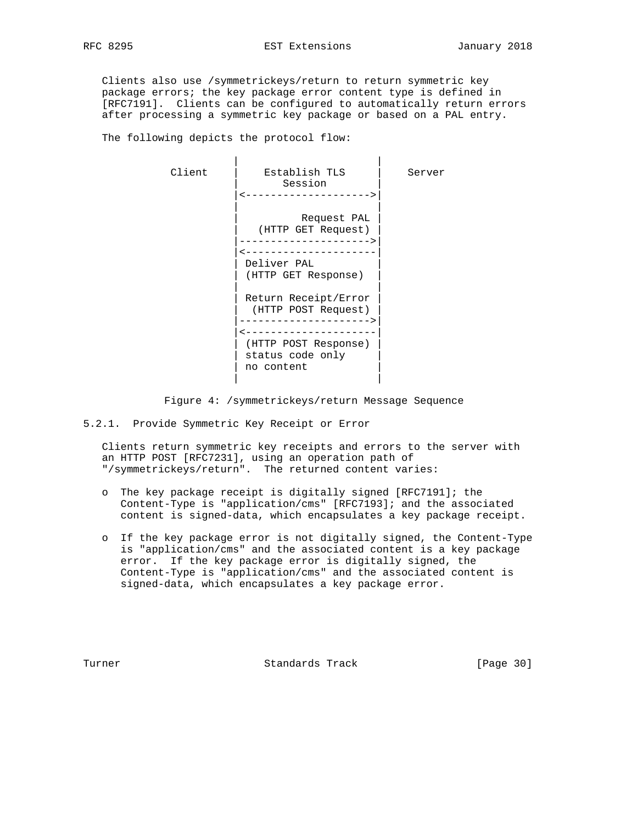Clients also use /symmetrickeys/return to return symmetric key package errors; the key package error content type is defined in [RFC7191]. Clients can be configured to automatically return errors after processing a symmetric key package or based on a PAL entry.

The following depicts the protocol flow:

 | | Client | Establish TLS | Server Session |<-------------------->| | |  $Request$  PAL | (HTTP GET Request) | |--------------------->| |<---------------------| | Deliver PAL | | (HTTP GET Response) | | | Return Receipt/Error (HTTP POST Request) |--------------------->| |<---------------------| | (HTTP POST Response) | status code only no content | |

Figure 4: /symmetrickeys/return Message Sequence

5.2.1. Provide Symmetric Key Receipt or Error

 Clients return symmetric key receipts and errors to the server with an HTTP POST [RFC7231], using an operation path of "/symmetrickeys/return". The returned content varies:

- o The key package receipt is digitally signed [RFC7191]; the Content-Type is "application/cms" [RFC7193]; and the associated content is signed-data, which encapsulates a key package receipt.
- o If the key package error is not digitally signed, the Content-Type is "application/cms" and the associated content is a key package error. If the key package error is digitally signed, the Content-Type is "application/cms" and the associated content is signed-data, which encapsulates a key package error.

Turner **Standards Track** [Page 30]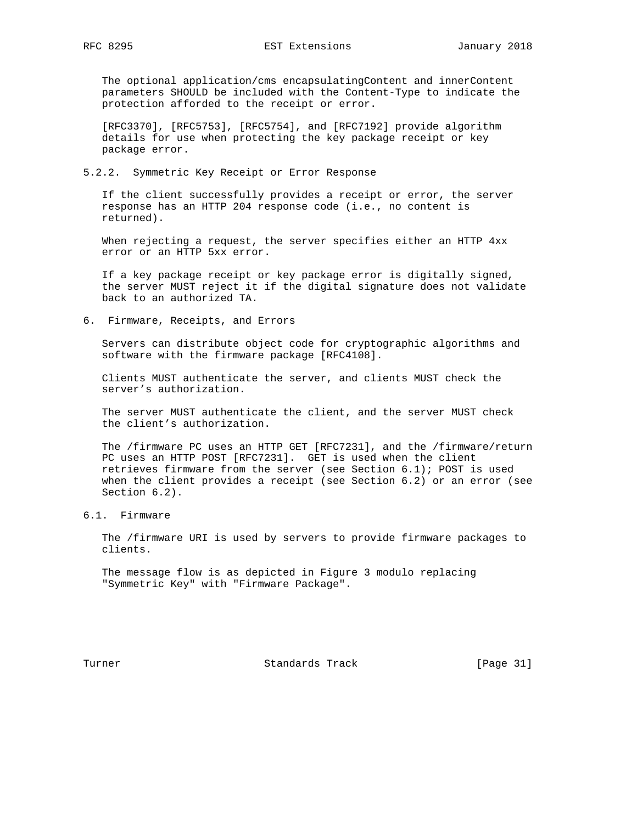The optional application/cms encapsulatingContent and innerContent parameters SHOULD be included with the Content-Type to indicate the protection afforded to the receipt or error.

 [RFC3370], [RFC5753], [RFC5754], and [RFC7192] provide algorithm details for use when protecting the key package receipt or key package error.

#### 5.2.2. Symmetric Key Receipt or Error Response

 If the client successfully provides a receipt or error, the server response has an HTTP 204 response code (i.e., no content is returned).

 When rejecting a request, the server specifies either an HTTP 4xx error or an HTTP 5xx error.

 If a key package receipt or key package error is digitally signed, the server MUST reject it if the digital signature does not validate back to an authorized TA.

6. Firmware, Receipts, and Errors

 Servers can distribute object code for cryptographic algorithms and software with the firmware package [RFC4108].

 Clients MUST authenticate the server, and clients MUST check the server's authorization.

 The server MUST authenticate the client, and the server MUST check the client's authorization.

 The /firmware PC uses an HTTP GET [RFC7231], and the /firmware/return PC uses an HTTP POST [RFC7231]. GET is used when the client retrieves firmware from the server (see Section 6.1); POST is used when the client provides a receipt (see Section 6.2) or an error (see Section 6.2).

6.1. Firmware

 The /firmware URI is used by servers to provide firmware packages to clients.

 The message flow is as depicted in Figure 3 modulo replacing "Symmetric Key" with "Firmware Package".

Turner **Standards Track** [Page 31]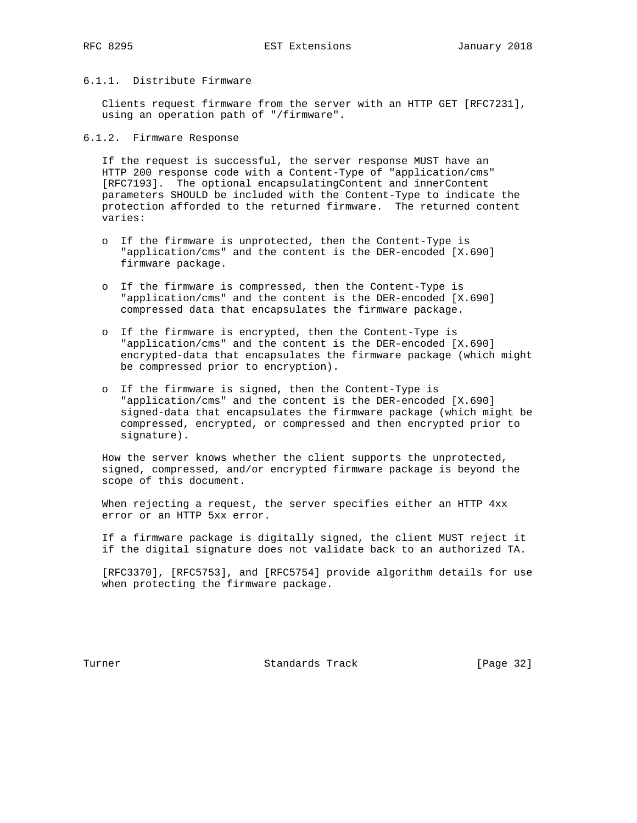# 6.1.1. Distribute Firmware

 Clients request firmware from the server with an HTTP GET [RFC7231], using an operation path of "/firmware".

### 6.1.2. Firmware Response

 If the request is successful, the server response MUST have an HTTP 200 response code with a Content-Type of "application/cms" [RFC7193]. The optional encapsulatingContent and innerContent parameters SHOULD be included with the Content-Type to indicate the protection afforded to the returned firmware. The returned content varies:

- o If the firmware is unprotected, then the Content-Type is "application/cms" and the content is the DER-encoded [X.690] firmware package.
- o If the firmware is compressed, then the Content-Type is "application/cms" and the content is the DER-encoded [X.690] compressed data that encapsulates the firmware package.
- o If the firmware is encrypted, then the Content-Type is "application/cms" and the content is the DER-encoded [X.690] encrypted-data that encapsulates the firmware package (which might be compressed prior to encryption).
- o If the firmware is signed, then the Content-Type is "application/cms" and the content is the DER-encoded [X.690] signed-data that encapsulates the firmware package (which might be compressed, encrypted, or compressed and then encrypted prior to signature).

 How the server knows whether the client supports the unprotected, signed, compressed, and/or encrypted firmware package is beyond the scope of this document.

 When rejecting a request, the server specifies either an HTTP 4xx error or an HTTP 5xx error.

 If a firmware package is digitally signed, the client MUST reject it if the digital signature does not validate back to an authorized TA.

 [RFC3370], [RFC5753], and [RFC5754] provide algorithm details for use when protecting the firmware package.

Turner **Standards Track** [Page 32]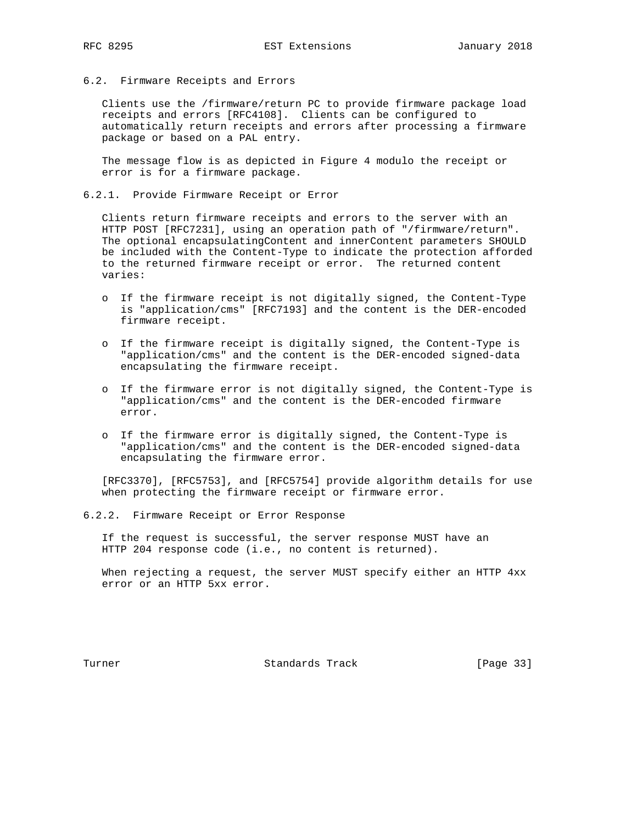#### 6.2. Firmware Receipts and Errors

 Clients use the /firmware/return PC to provide firmware package load receipts and errors [RFC4108]. Clients can be configured to automatically return receipts and errors after processing a firmware package or based on a PAL entry.

 The message flow is as depicted in Figure 4 modulo the receipt or error is for a firmware package.

### 6.2.1. Provide Firmware Receipt or Error

 Clients return firmware receipts and errors to the server with an HTTP POST [RFC7231], using an operation path of "/firmware/return". The optional encapsulatingContent and innerContent parameters SHOULD be included with the Content-Type to indicate the protection afforded to the returned firmware receipt or error. The returned content varies:

- o If the firmware receipt is not digitally signed, the Content-Type is "application/cms" [RFC7193] and the content is the DER-encoded firmware receipt.
- o If the firmware receipt is digitally signed, the Content-Type is "application/cms" and the content is the DER-encoded signed-data encapsulating the firmware receipt.
- o If the firmware error is not digitally signed, the Content-Type is "application/cms" and the content is the DER-encoded firmware error.
- o If the firmware error is digitally signed, the Content-Type is "application/cms" and the content is the DER-encoded signed-data encapsulating the firmware error.

 [RFC3370], [RFC5753], and [RFC5754] provide algorithm details for use when protecting the firmware receipt or firmware error.

6.2.2. Firmware Receipt or Error Response

 If the request is successful, the server response MUST have an HTTP 204 response code (i.e., no content is returned).

 When rejecting a request, the server MUST specify either an HTTP 4xx error or an HTTP 5xx error.

Turner **Standards Track** [Page 33]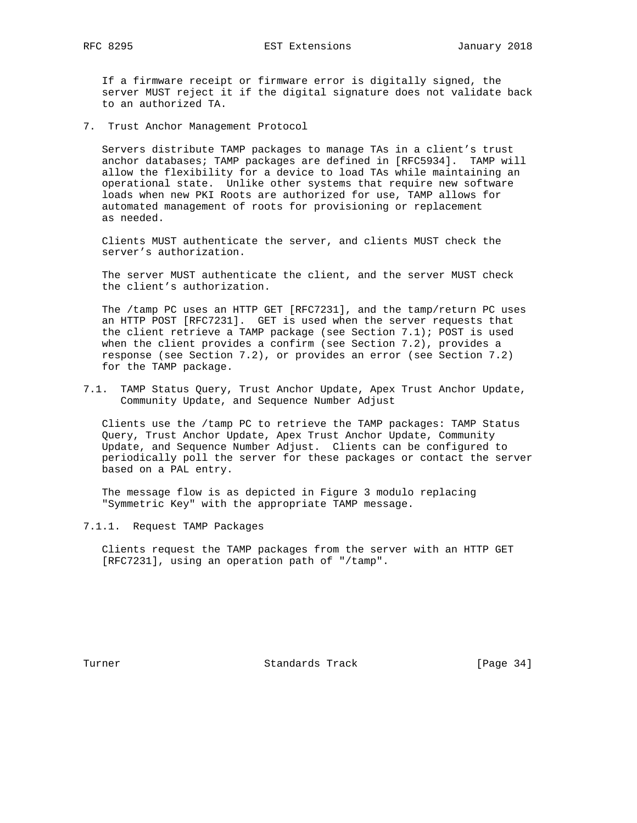If a firmware receipt or firmware error is digitally signed, the server MUST reject it if the digital signature does not validate back to an authorized TA.

7. Trust Anchor Management Protocol

 Servers distribute TAMP packages to manage TAs in a client's trust anchor databases; TAMP packages are defined in [RFC5934]. TAMP will allow the flexibility for a device to load TAs while maintaining an operational state. Unlike other systems that require new software loads when new PKI Roots are authorized for use, TAMP allows for automated management of roots for provisioning or replacement as needed.

 Clients MUST authenticate the server, and clients MUST check the server's authorization.

 The server MUST authenticate the client, and the server MUST check the client's authorization.

 The /tamp PC uses an HTTP GET [RFC7231], and the tamp/return PC uses an HTTP POST [RFC7231]. GET is used when the server requests that the client retrieve a TAMP package (see Section 7.1); POST is used when the client provides a confirm (see Section 7.2), provides a response (see Section 7.2), or provides an error (see Section 7.2) for the TAMP package.

7.1. TAMP Status Query, Trust Anchor Update, Apex Trust Anchor Update, Community Update, and Sequence Number Adjust

 Clients use the /tamp PC to retrieve the TAMP packages: TAMP Status Query, Trust Anchor Update, Apex Trust Anchor Update, Community Update, and Sequence Number Adjust. Clients can be configured to periodically poll the server for these packages or contact the server based on a PAL entry.

 The message flow is as depicted in Figure 3 modulo replacing "Symmetric Key" with the appropriate TAMP message.

7.1.1. Request TAMP Packages

 Clients request the TAMP packages from the server with an HTTP GET [RFC7231], using an operation path of "/tamp".

Turner **Standards Track** [Page 34]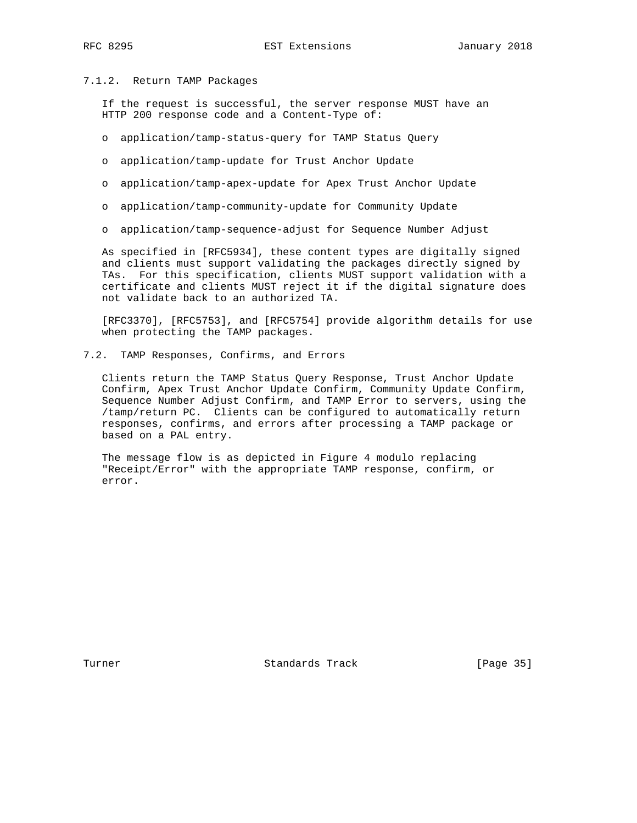#### 7.1.2. Return TAMP Packages

 If the request is successful, the server response MUST have an HTTP 200 response code and a Content-Type of:

- o application/tamp-status-query for TAMP Status Query
- o application/tamp-update for Trust Anchor Update
- o application/tamp-apex-update for Apex Trust Anchor Update
- o application/tamp-community-update for Community Update
- o application/tamp-sequence-adjust for Sequence Number Adjust

 As specified in [RFC5934], these content types are digitally signed and clients must support validating the packages directly signed by TAs. For this specification, clients MUST support validation with a certificate and clients MUST reject it if the digital signature does not validate back to an authorized TA.

 [RFC3370], [RFC5753], and [RFC5754] provide algorithm details for use when protecting the TAMP packages.

7.2. TAMP Responses, Confirms, and Errors

 Clients return the TAMP Status Query Response, Trust Anchor Update Confirm, Apex Trust Anchor Update Confirm, Community Update Confirm, Sequence Number Adjust Confirm, and TAMP Error to servers, using the /tamp/return PC. Clients can be configured to automatically return responses, confirms, and errors after processing a TAMP package or based on a PAL entry.

 The message flow is as depicted in Figure 4 modulo replacing "Receipt/Error" with the appropriate TAMP response, confirm, or error.

Turner **Standards Track** [Page 35]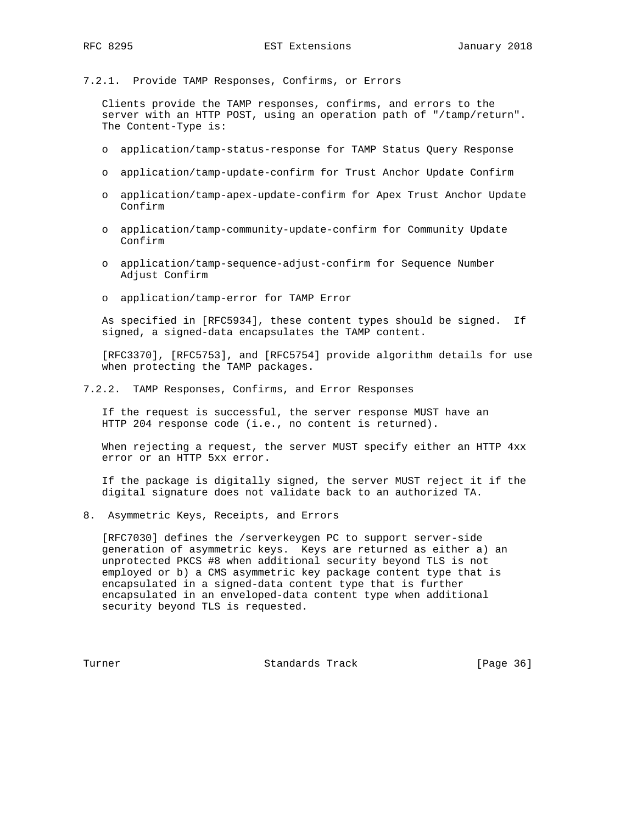7.2.1. Provide TAMP Responses, Confirms, or Errors

 Clients provide the TAMP responses, confirms, and errors to the server with an HTTP POST, using an operation path of "/tamp/return". The Content-Type is:

- o application/tamp-status-response for TAMP Status Query Response
- o application/tamp-update-confirm for Trust Anchor Update Confirm
- o application/tamp-apex-update-confirm for Apex Trust Anchor Update Confirm
- o application/tamp-community-update-confirm for Community Update Confirm
- o application/tamp-sequence-adjust-confirm for Sequence Number Adjust Confirm
- o application/tamp-error for TAMP Error

 As specified in [RFC5934], these content types should be signed. If signed, a signed-data encapsulates the TAMP content.

 [RFC3370], [RFC5753], and [RFC5754] provide algorithm details for use when protecting the TAMP packages.

7.2.2. TAMP Responses, Confirms, and Error Responses

 If the request is successful, the server response MUST have an HTTP 204 response code (i.e., no content is returned).

 When rejecting a request, the server MUST specify either an HTTP 4xx error or an HTTP 5xx error.

 If the package is digitally signed, the server MUST reject it if the digital signature does not validate back to an authorized TA.

8. Asymmetric Keys, Receipts, and Errors

 [RFC7030] defines the /serverkeygen PC to support server-side generation of asymmetric keys. Keys are returned as either a) an unprotected PKCS #8 when additional security beyond TLS is not employed or b) a CMS asymmetric key package content type that is encapsulated in a signed-data content type that is further encapsulated in an enveloped-data content type when additional security beyond TLS is requested.

Turner **Standards Track** [Page 36]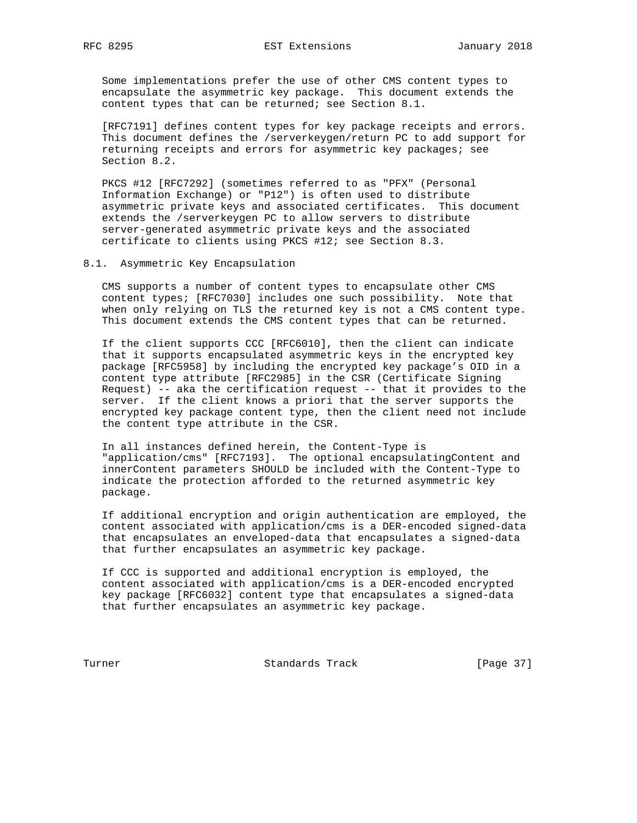Some implementations prefer the use of other CMS content types to encapsulate the asymmetric key package. This document extends the content types that can be returned; see Section 8.1.

 [RFC7191] defines content types for key package receipts and errors. This document defines the /serverkeygen/return PC to add support for returning receipts and errors for asymmetric key packages; see Section 8.2.

 PKCS #12 [RFC7292] (sometimes referred to as "PFX" (Personal Information Exchange) or "P12") is often used to distribute asymmetric private keys and associated certificates. This document extends the /serverkeygen PC to allow servers to distribute server-generated asymmetric private keys and the associated certificate to clients using PKCS #12; see Section 8.3.

8.1. Asymmetric Key Encapsulation

 CMS supports a number of content types to encapsulate other CMS content types; [RFC7030] includes one such possibility. Note that when only relying on TLS the returned key is not a CMS content type. This document extends the CMS content types that can be returned.

 If the client supports CCC [RFC6010], then the client can indicate that it supports encapsulated asymmetric keys in the encrypted key package [RFC5958] by including the encrypted key package's OID in a content type attribute [RFC2985] in the CSR (Certificate Signing Request) -- aka the certification request -- that it provides to the server. If the client knows a priori that the server supports the encrypted key package content type, then the client need not include the content type attribute in the CSR.

 In all instances defined herein, the Content-Type is "application/cms" [RFC7193]. The optional encapsulatingContent and innerContent parameters SHOULD be included with the Content-Type to indicate the protection afforded to the returned asymmetric key package.

 If additional encryption and origin authentication are employed, the content associated with application/cms is a DER-encoded signed-data that encapsulates an enveloped-data that encapsulates a signed-data that further encapsulates an asymmetric key package.

 If CCC is supported and additional encryption is employed, the content associated with application/cms is a DER-encoded encrypted key package [RFC6032] content type that encapsulates a signed-data that further encapsulates an asymmetric key package.

Turner **Standards Track** [Page 37]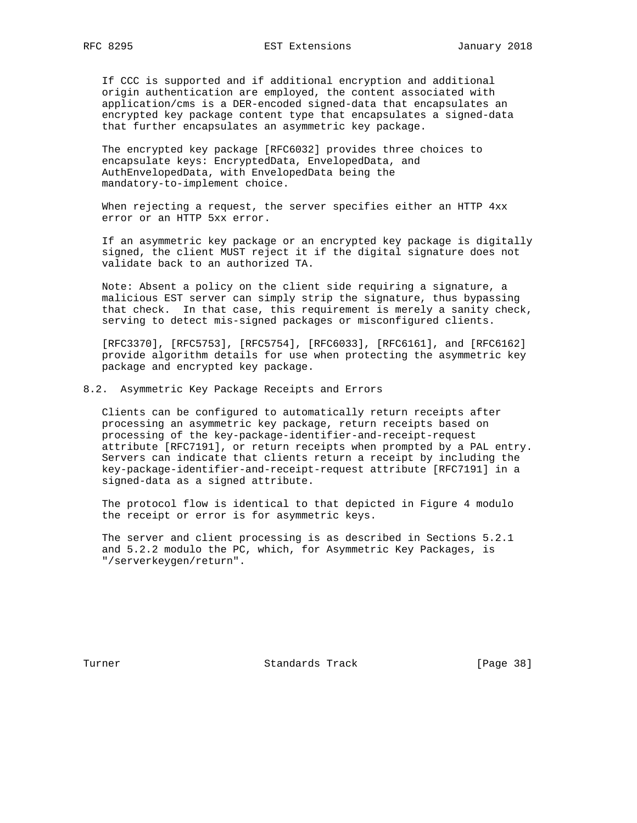If CCC is supported and if additional encryption and additional origin authentication are employed, the content associated with application/cms is a DER-encoded signed-data that encapsulates an encrypted key package content type that encapsulates a signed-data that further encapsulates an asymmetric key package.

 The encrypted key package [RFC6032] provides three choices to encapsulate keys: EncryptedData, EnvelopedData, and AuthEnvelopedData, with EnvelopedData being the mandatory-to-implement choice.

 When rejecting a request, the server specifies either an HTTP 4xx error or an HTTP 5xx error.

 If an asymmetric key package or an encrypted key package is digitally signed, the client MUST reject it if the digital signature does not validate back to an authorized TA.

 Note: Absent a policy on the client side requiring a signature, a malicious EST server can simply strip the signature, thus bypassing that check. In that case, this requirement is merely a sanity check, serving to detect mis-signed packages or misconfigured clients.

 [RFC3370], [RFC5753], [RFC5754], [RFC6033], [RFC6161], and [RFC6162] provide algorithm details for use when protecting the asymmetric key package and encrypted key package.

#### 8.2. Asymmetric Key Package Receipts and Errors

 Clients can be configured to automatically return receipts after processing an asymmetric key package, return receipts based on processing of the key-package-identifier-and-receipt-request attribute [RFC7191], or return receipts when prompted by a PAL entry. Servers can indicate that clients return a receipt by including the key-package-identifier-and-receipt-request attribute [RFC7191] in a signed-data as a signed attribute.

 The protocol flow is identical to that depicted in Figure 4 modulo the receipt or error is for asymmetric keys.

 The server and client processing is as described in Sections 5.2.1 and 5.2.2 modulo the PC, which, for Asymmetric Key Packages, is "/serverkeygen/return".

Turner **Standards Track** [Page 38]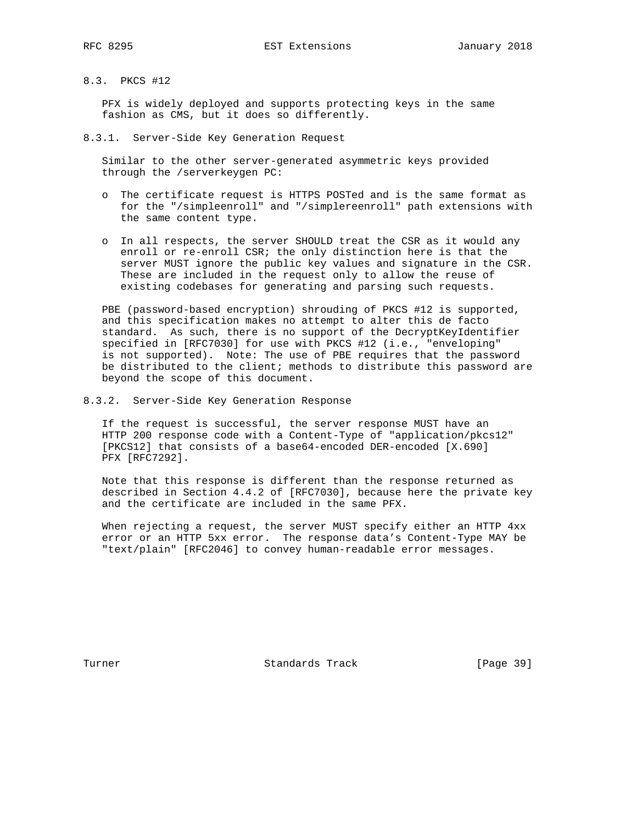### 8.3. PKCS #12

 PFX is widely deployed and supports protecting keys in the same fashion as CMS, but it does so differently.

8.3.1. Server-Side Key Generation Request

 Similar to the other server-generated asymmetric keys provided through the /serverkeygen PC:

- o The certificate request is HTTPS POSTed and is the same format as for the "/simpleenroll" and "/simplereenroll" path extensions with the same content type.
- o In all respects, the server SHOULD treat the CSR as it would any enroll or re-enroll CSR; the only distinction here is that the server MUST ignore the public key values and signature in the CSR. These are included in the request only to allow the reuse of existing codebases for generating and parsing such requests.

 PBE (password-based encryption) shrouding of PKCS #12 is supported, and this specification makes no attempt to alter this de facto standard. As such, there is no support of the DecryptKeyIdentifier specified in [RFC7030] for use with PKCS #12 (i.e., "enveloping" is not supported). Note: The use of PBE requires that the password be distributed to the client; methods to distribute this password are beyond the scope of this document.

8.3.2. Server-Side Key Generation Response

 If the request is successful, the server response MUST have an HTTP 200 response code with a Content-Type of "application/pkcs12" [PKCS12] that consists of a base64-encoded DER-encoded [X.690] PFX [RFC7292].

 Note that this response is different than the response returned as described in Section 4.4.2 of [RFC7030], because here the private key and the certificate are included in the same PFX.

 When rejecting a request, the server MUST specify either an HTTP 4xx error or an HTTP 5xx error. The response data's Content-Type MAY be "text/plain" [RFC2046] to convey human-readable error messages.

Turner **Standards Track** [Page 39]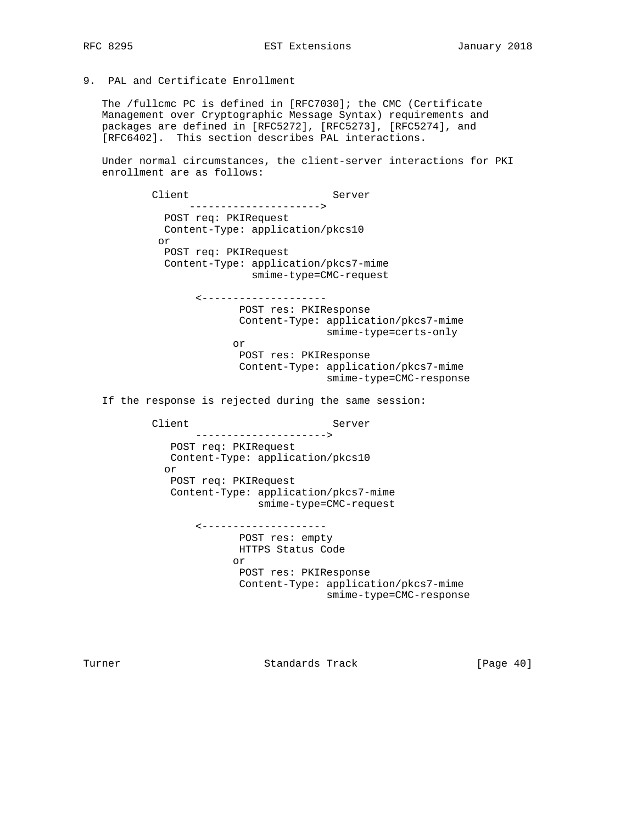9. PAL and Certificate Enrollment

 The /fullcmc PC is defined in [RFC7030]; the CMC (Certificate Management over Cryptographic Message Syntax) requirements and packages are defined in [RFC5272], [RFC5273], [RFC5274], and [RFC6402]. This section describes PAL interactions.

 Under normal circumstances, the client-server interactions for PKI enrollment are as follows:

Client Server ---------------------> POST req: PKIRequest Content-Type: application/pkcs10 or POST req: PKIRequest Content-Type: application/pkcs7-mime smime-type=CMC-request <-------------------- POST res: PKIResponse Content-Type: application/pkcs7-mime smime-type=certs-only or POST res: PKIResponse Content-Type: application/pkcs7-mime smime-type=CMC-response If the response is rejected during the same session: Client Server ---------------------> POST req: PKIRequest Content-Type: application/pkcs10 or POST req: PKIRequest Content-Type: application/pkcs7-mime smime-type=CMC-request <-------------------- POST res: empty HTTPS Status Code or POST res: PKIResponse Content-Type: application/pkcs7-mime

smime-type=CMC-response

Turner **Standards Track** [Page 40]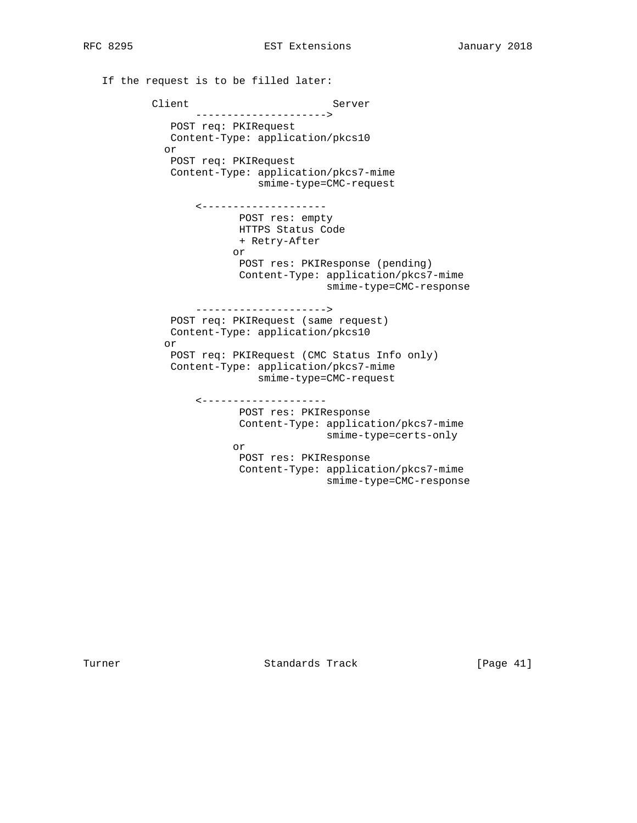If the request is to be filled later: Client Server ---------------------> POST req: PKIRequest Content-Type: application/pkcs10 or POST req: PKIRequest Content-Type: application/pkcs7-mime smime-type=CMC-request <-------------------- POST res: empty HTTPS Status Code + Retry-After or POST res: PKIResponse (pending) Content-Type: application/pkcs7-mime smime-type=CMC-response ---------------------> POST req: PKIRequest (same request) Content-Type: application/pkcs10 or POST req: PKIRequest (CMC Status Info only) Content-Type: application/pkcs7-mime smime-type=CMC-request <-------------------- POST res: PKIResponse Content-Type: application/pkcs7-mime smime-type=certs-only or POST res: PKIResponse Content-Type: application/pkcs7-mime smime-type=CMC-response

Turner **Standards Track** [Page 41]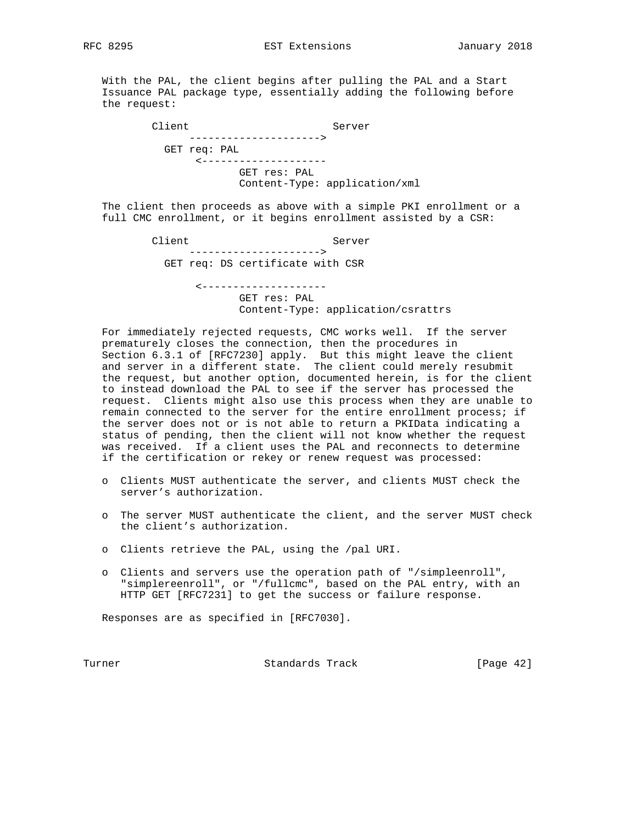With the PAL, the client begins after pulling the PAL and a Start Issuance PAL package type, essentially adding the following before the request:

| Client       | Server                        |
|--------------|-------------------------------|
|              | ----------------------        |
| GET req: PAL |                               |
|              | ---------------------         |
|              | GET res: PAL                  |
|              | Content-Type: application/xml |

 The client then proceeds as above with a simple PKI enrollment or a full CMC enrollment, or it begins enrollment assisted by a CSR:

> Client Server ---------------------> GET req: DS certificate with CSR <--------------------

> > GET res: PAL Content-Type: application/csrattrs

 For immediately rejected requests, CMC works well. If the server prematurely closes the connection, then the procedures in Section 6.3.1 of [RFC7230] apply. But this might leave the client and server in a different state. The client could merely resubmit the request, but another option, documented herein, is for the client to instead download the PAL to see if the server has processed the request. Clients might also use this process when they are unable to remain connected to the server for the entire enrollment process; if the server does not or is not able to return a PKIData indicating a status of pending, then the client will not know whether the request was received. If a client uses the PAL and reconnects to determine if the certification or rekey or renew request was processed:

- o Clients MUST authenticate the server, and clients MUST check the server's authorization.
- o The server MUST authenticate the client, and the server MUST check the client's authorization.
- o Clients retrieve the PAL, using the /pal URI.
- o Clients and servers use the operation path of "/simpleenroll", "simplereenroll", or "/fullcmc", based on the PAL entry, with an HTTP GET [RFC7231] to get the success or failure response.

Responses are as specified in [RFC7030].

Turner **Standards Track** [Page 42]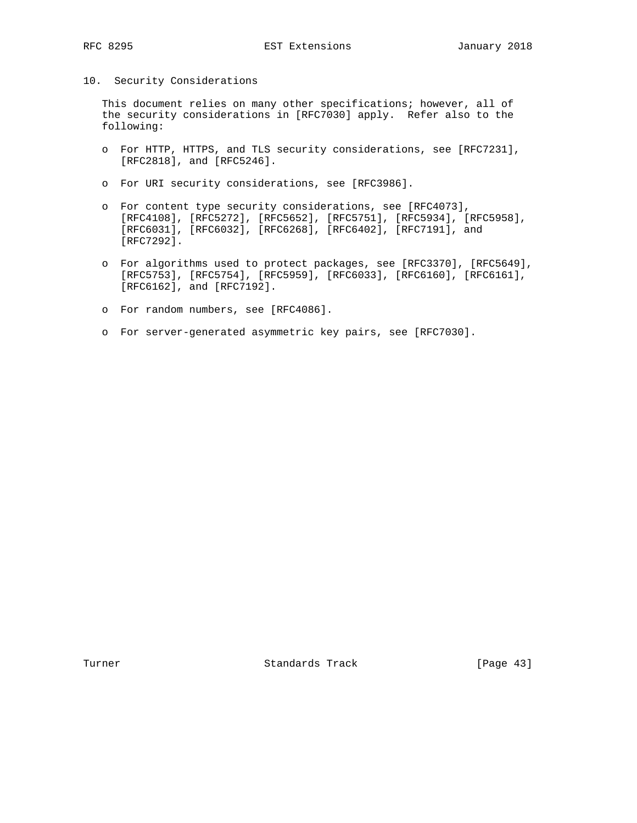10. Security Considerations

 This document relies on many other specifications; however, all of the security considerations in [RFC7030] apply. Refer also to the following:

- o For HTTP, HTTPS, and TLS security considerations, see [RFC7231], [RFC2818], and [RFC5246].
- o For URI security considerations, see [RFC3986].
- o For content type security considerations, see [RFC4073], [RFC4108], [RFC5272], [RFC5652], [RFC5751], [RFC5934], [RFC5958], [RFC6031], [RFC6032], [RFC6268], [RFC6402], [RFC7191], and [RFC7292].
- o For algorithms used to protect packages, see [RFC3370], [RFC5649], [RFC5753], [RFC5754], [RFC5959], [RFC6033], [RFC6160], [RFC6161], [RFC6162], and [RFC7192].
- o For random numbers, see [RFC4086].
- o For server-generated asymmetric key pairs, see [RFC7030].

Turner **Standards Track** [Page 43]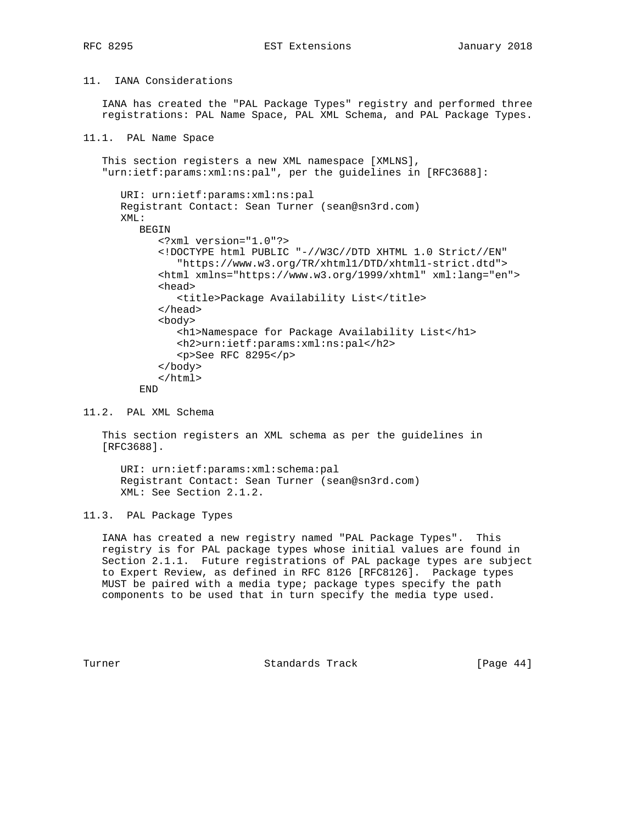# RFC 8295 **EST Extensions** EST Extensions January 2018

# 11. IANA Considerations

 IANA has created the "PAL Package Types" registry and performed three registrations: PAL Name Space, PAL XML Schema, and PAL Package Types.

```
11.1. PAL Name Space
```

```
 This section registers a new XML namespace [XMLNS],
 "urn:ietf:params:xml:ns:pal", per the guidelines in [RFC3688]:
    URI: urn:ietf:params:xml:ns:pal
   Registrant Contact: Sean Turner (sean@sn3rd.com)
   XML:
      BEGIN
          <?xml version="1.0"?>
          <!DOCTYPE html PUBLIC "-//W3C//DTD XHTML 1.0 Strict//EN"
             "https://www.w3.org/TR/xhtml1/DTD/xhtml1-strict.dtd">
          <html xmlns="https://www.w3.org/1999/xhtml" xml:lang="en">
          <head>
             <title>Package Availability List</title>
          </head>
          <body>
             <h1>Namespace for Package Availability List</h1>
             <h2>urn:ietf:params:xml:ns:pal</h2>
             <p>See RFC 8295</p>
          </body>
          </html>
       END
```
11.2. PAL XML Schema

 This section registers an XML schema as per the guidelines in [RFC3688].

 URI: urn:ietf:params:xml:schema:pal Registrant Contact: Sean Turner (sean@sn3rd.com) XML: See Section 2.1.2.

11.3. PAL Package Types

 IANA has created a new registry named "PAL Package Types". This registry is for PAL package types whose initial values are found in Section 2.1.1. Future registrations of PAL package types are subject to Expert Review, as defined in RFC 8126 [RFC8126]. Package types MUST be paired with a media type; package types specify the path components to be used that in turn specify the media type used.

Turner **Standards Track** [Page 44]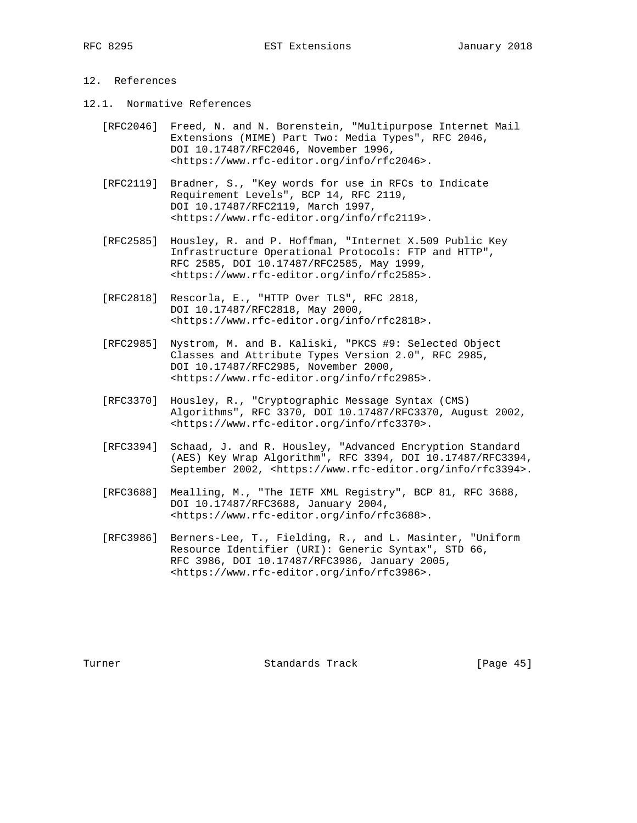# 12. References

- 12.1. Normative References
	- [RFC2046] Freed, N. and N. Borenstein, "Multipurpose Internet Mail Extensions (MIME) Part Two: Media Types", RFC 2046, DOI 10.17487/RFC2046, November 1996, <https://www.rfc-editor.org/info/rfc2046>.
	- [RFC2119] Bradner, S., "Key words for use in RFCs to Indicate Requirement Levels", BCP 14, RFC 2119, DOI 10.17487/RFC2119, March 1997, <https://www.rfc-editor.org/info/rfc2119>.
	- [RFC2585] Housley, R. and P. Hoffman, "Internet X.509 Public Key Infrastructure Operational Protocols: FTP and HTTP", RFC 2585, DOI 10.17487/RFC2585, May 1999, <https://www.rfc-editor.org/info/rfc2585>.
	- [RFC2818] Rescorla, E., "HTTP Over TLS", RFC 2818, DOI 10.17487/RFC2818, May 2000, <https://www.rfc-editor.org/info/rfc2818>.
	- [RFC2985] Nystrom, M. and B. Kaliski, "PKCS #9: Selected Object Classes and Attribute Types Version 2.0", RFC 2985, DOI 10.17487/RFC2985, November 2000, <https://www.rfc-editor.org/info/rfc2985>.
	- [RFC3370] Housley, R., "Cryptographic Message Syntax (CMS) Algorithms", RFC 3370, DOI 10.17487/RFC3370, August 2002, <https://www.rfc-editor.org/info/rfc3370>.
	- [RFC3394] Schaad, J. and R. Housley, "Advanced Encryption Standard (AES) Key Wrap Algorithm", RFC 3394, DOI 10.17487/RFC3394, September 2002, <https://www.rfc-editor.org/info/rfc3394>.
	- [RFC3688] Mealling, M., "The IETF XML Registry", BCP 81, RFC 3688, DOI 10.17487/RFC3688, January 2004, <https://www.rfc-editor.org/info/rfc3688>.
	- [RFC3986] Berners-Lee, T., Fielding, R., and L. Masinter, "Uniform Resource Identifier (URI): Generic Syntax", STD 66, RFC 3986, DOI 10.17487/RFC3986, January 2005, <https://www.rfc-editor.org/info/rfc3986>.

Turner **Standards Track** [Page 45]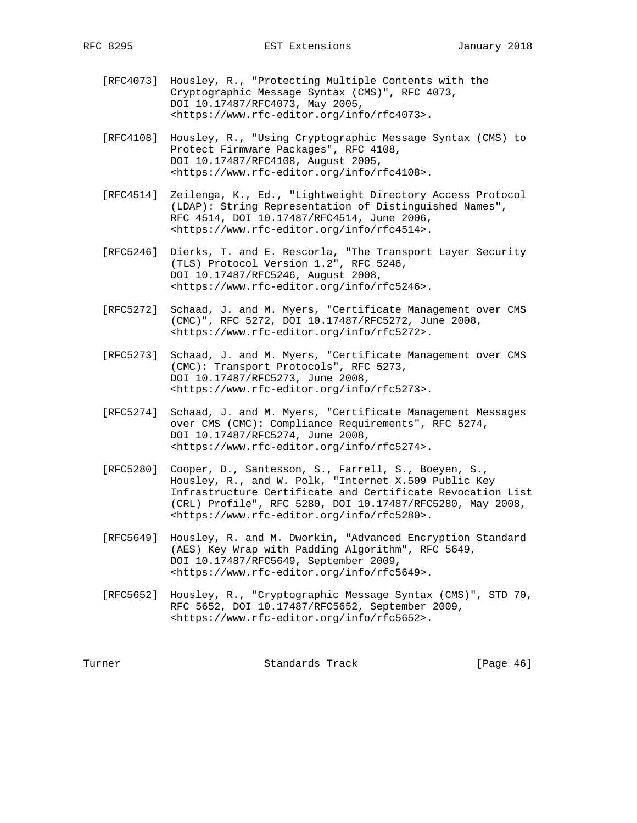- [RFC4073] Housley, R., "Protecting Multiple Contents with the Cryptographic Message Syntax (CMS)", RFC 4073, DOI 10.17487/RFC4073, May 2005, <https://www.rfc-editor.org/info/rfc4073>.
- [RFC4108] Housley, R., "Using Cryptographic Message Syntax (CMS) to Protect Firmware Packages", RFC 4108, DOI 10.17487/RFC4108, August 2005, <https://www.rfc-editor.org/info/rfc4108>.
- [RFC4514] Zeilenga, K., Ed., "Lightweight Directory Access Protocol (LDAP): String Representation of Distinguished Names", RFC 4514, DOI 10.17487/RFC4514, June 2006, <https://www.rfc-editor.org/info/rfc4514>.
- [RFC5246] Dierks, T. and E. Rescorla, "The Transport Layer Security (TLS) Protocol Version 1.2", RFC 5246, DOI 10.17487/RFC5246, August 2008, <https://www.rfc-editor.org/info/rfc5246>.
	- [RFC5272] Schaad, J. and M. Myers, "Certificate Management over CMS (CMC)", RFC 5272, DOI 10.17487/RFC5272, June 2008, <https://www.rfc-editor.org/info/rfc5272>.
	- [RFC5273] Schaad, J. and M. Myers, "Certificate Management over CMS (CMC): Transport Protocols", RFC 5273, DOI 10.17487/RFC5273, June 2008, <https://www.rfc-editor.org/info/rfc5273>.
	- [RFC5274] Schaad, J. and M. Myers, "Certificate Management Messages over CMS (CMC): Compliance Requirements", RFC 5274, DOI 10.17487/RFC5274, June 2008, <https://www.rfc-editor.org/info/rfc5274>.
	- [RFC5280] Cooper, D., Santesson, S., Farrell, S., Boeyen, S., Housley, R., and W. Polk, "Internet X.509 Public Key Infrastructure Certificate and Certificate Revocation List (CRL) Profile", RFC 5280, DOI 10.17487/RFC5280, May 2008, <https://www.rfc-editor.org/info/rfc5280>.
	- [RFC5649] Housley, R. and M. Dworkin, "Advanced Encryption Standard (AES) Key Wrap with Padding Algorithm", RFC 5649, DOI 10.17487/RFC5649, September 2009, <https://www.rfc-editor.org/info/rfc5649>.
	- [RFC5652] Housley, R., "Cryptographic Message Syntax (CMS)", STD 70, RFC 5652, DOI 10.17487/RFC5652, September 2009, <https://www.rfc-editor.org/info/rfc5652>.

Turner **Standards Track** [Page 46]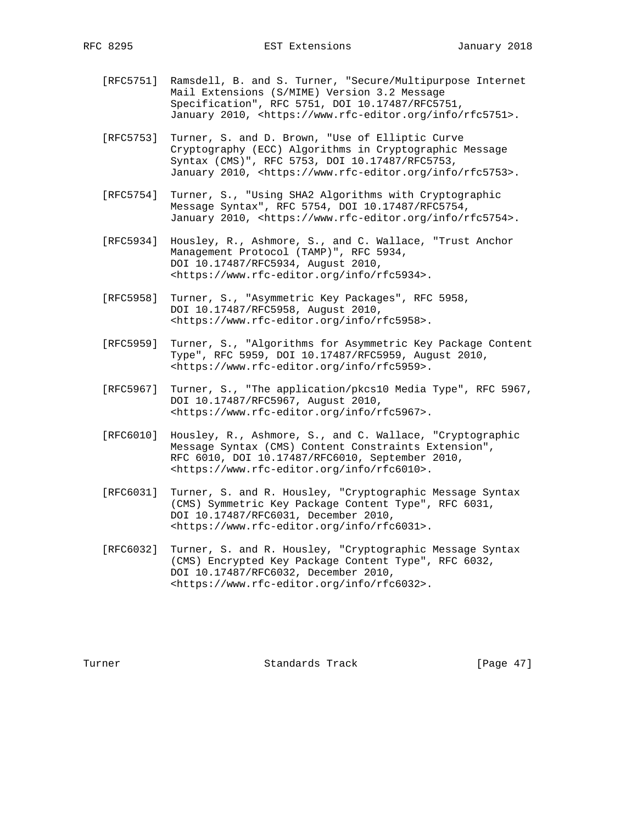- [RFC5751] Ramsdell, B. and S. Turner, "Secure/Multipurpose Internet Mail Extensions (S/MIME) Version 3.2 Message Specification", RFC 5751, DOI 10.17487/RFC5751, January 2010, <https://www.rfc-editor.org/info/rfc5751>.
- [RFC5753] Turner, S. and D. Brown, "Use of Elliptic Curve Cryptography (ECC) Algorithms in Cryptographic Message Syntax (CMS)", RFC 5753, DOI 10.17487/RFC5753, January 2010, <https://www.rfc-editor.org/info/rfc5753>.
- [RFC5754] Turner, S., "Using SHA2 Algorithms with Cryptographic Message Syntax", RFC 5754, DOI 10.17487/RFC5754, January 2010, <https://www.rfc-editor.org/info/rfc5754>.
- [RFC5934] Housley, R., Ashmore, S., and C. Wallace, "Trust Anchor Management Protocol (TAMP)", RFC 5934, DOI 10.17487/RFC5934, August 2010, <https://www.rfc-editor.org/info/rfc5934>.
- [RFC5958] Turner, S., "Asymmetric Key Packages", RFC 5958, DOI 10.17487/RFC5958, August 2010, <https://www.rfc-editor.org/info/rfc5958>.
- [RFC5959] Turner, S., "Algorithms for Asymmetric Key Package Content Type", RFC 5959, DOI 10.17487/RFC5959, August 2010, <https://www.rfc-editor.org/info/rfc5959>.
- [RFC5967] Turner, S., "The application/pkcs10 Media Type", RFC 5967, DOI 10.17487/RFC5967, August 2010, <https://www.rfc-editor.org/info/rfc5967>.
- [RFC6010] Housley, R., Ashmore, S., and C. Wallace, "Cryptographic Message Syntax (CMS) Content Constraints Extension", RFC 6010, DOI 10.17487/RFC6010, September 2010, <https://www.rfc-editor.org/info/rfc6010>.
- [RFC6031] Turner, S. and R. Housley, "Cryptographic Message Syntax (CMS) Symmetric Key Package Content Type", RFC 6031, DOI 10.17487/RFC6031, December 2010, <https://www.rfc-editor.org/info/rfc6031>.
- [RFC6032] Turner, S. and R. Housley, "Cryptographic Message Syntax (CMS) Encrypted Key Package Content Type", RFC 6032, DOI 10.17487/RFC6032, December 2010, <https://www.rfc-editor.org/info/rfc6032>.

Turner Standards Track [Page 47]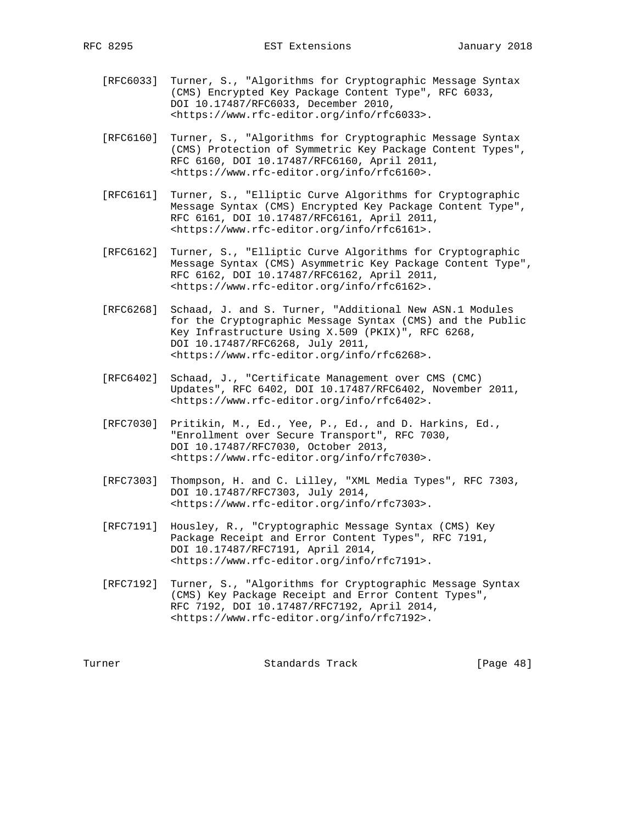- [RFC6033] Turner, S., "Algorithms for Cryptographic Message Syntax (CMS) Encrypted Key Package Content Type", RFC 6033, DOI 10.17487/RFC6033, December 2010, <https://www.rfc-editor.org/info/rfc6033>.
- [RFC6160] Turner, S., "Algorithms for Cryptographic Message Syntax (CMS) Protection of Symmetric Key Package Content Types", RFC 6160, DOI 10.17487/RFC6160, April 2011, <https://www.rfc-editor.org/info/rfc6160>.
- [RFC6161] Turner, S., "Elliptic Curve Algorithms for Cryptographic Message Syntax (CMS) Encrypted Key Package Content Type", RFC 6161, DOI 10.17487/RFC6161, April 2011, <https://www.rfc-editor.org/info/rfc6161>.
- [RFC6162] Turner, S., "Elliptic Curve Algorithms for Cryptographic Message Syntax (CMS) Asymmetric Key Package Content Type", RFC 6162, DOI 10.17487/RFC6162, April 2011, <https://www.rfc-editor.org/info/rfc6162>.
- [RFC6268] Schaad, J. and S. Turner, "Additional New ASN.1 Modules for the Cryptographic Message Syntax (CMS) and the Public Key Infrastructure Using X.509 (PKIX)", RFC 6268, DOI 10.17487/RFC6268, July 2011, <https://www.rfc-editor.org/info/rfc6268>.
- [RFC6402] Schaad, J., "Certificate Management over CMS (CMC) Updates", RFC 6402, DOI 10.17487/RFC6402, November 2011, <https://www.rfc-editor.org/info/rfc6402>.
- [RFC7030] Pritikin, M., Ed., Yee, P., Ed., and D. Harkins, Ed., "Enrollment over Secure Transport", RFC 7030, DOI 10.17487/RFC7030, October 2013, <https://www.rfc-editor.org/info/rfc7030>.
- [RFC7303] Thompson, H. and C. Lilley, "XML Media Types", RFC 7303, DOI 10.17487/RFC7303, July 2014, <https://www.rfc-editor.org/info/rfc7303>.
- [RFC7191] Housley, R., "Cryptographic Message Syntax (CMS) Key Package Receipt and Error Content Types", RFC 7191, DOI 10.17487/RFC7191, April 2014, <https://www.rfc-editor.org/info/rfc7191>.
- [RFC7192] Turner, S., "Algorithms for Cryptographic Message Syntax (CMS) Key Package Receipt and Error Content Types", RFC 7192, DOI 10.17487/RFC7192, April 2014, <https://www.rfc-editor.org/info/rfc7192>.

Turner Standards Track [Page 48]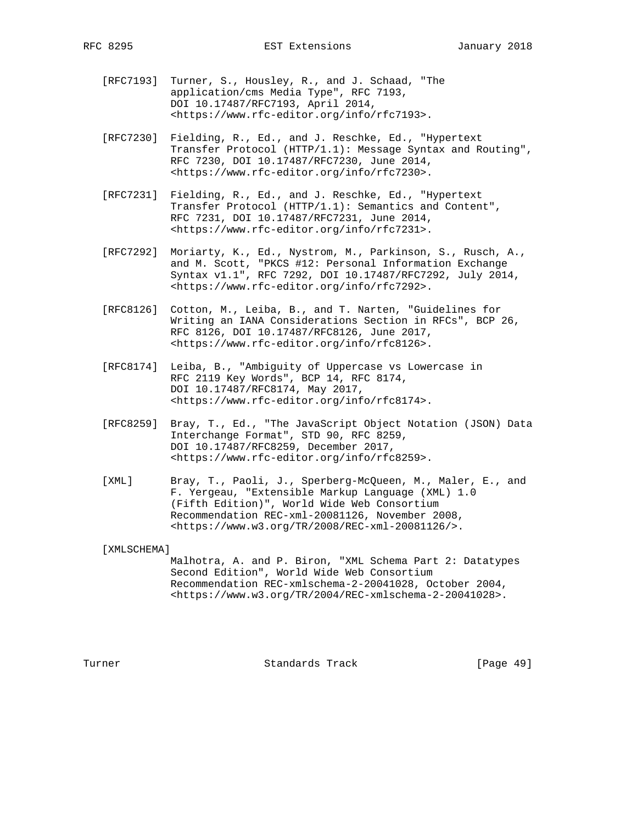- [RFC7193] Turner, S., Housley, R., and J. Schaad, "The application/cms Media Type", RFC 7193, DOI 10.17487/RFC7193, April 2014, <https://www.rfc-editor.org/info/rfc7193>.
- [RFC7230] Fielding, R., Ed., and J. Reschke, Ed., "Hypertext Transfer Protocol (HTTP/1.1): Message Syntax and Routing", RFC 7230, DOI 10.17487/RFC7230, June 2014, <https://www.rfc-editor.org/info/rfc7230>.
- [RFC7231] Fielding, R., Ed., and J. Reschke, Ed., "Hypertext Transfer Protocol (HTTP/1.1): Semantics and Content", RFC 7231, DOI 10.17487/RFC7231, June 2014, <https://www.rfc-editor.org/info/rfc7231>.
- [RFC7292] Moriarty, K., Ed., Nystrom, M., Parkinson, S., Rusch, A., and M. Scott, "PKCS #12: Personal Information Exchange Syntax v1.1", RFC 7292, DOI 10.17487/RFC7292, July 2014, <https://www.rfc-editor.org/info/rfc7292>.
- [RFC8126] Cotton, M., Leiba, B., and T. Narten, "Guidelines for Writing an IANA Considerations Section in RFCs", BCP 26, RFC 8126, DOI 10.17487/RFC8126, June 2017, <https://www.rfc-editor.org/info/rfc8126>.
- [RFC8174] Leiba, B., "Ambiguity of Uppercase vs Lowercase in RFC 2119 Key Words", BCP 14, RFC 8174, DOI 10.17487/RFC8174, May 2017, <https://www.rfc-editor.org/info/rfc8174>.
- [RFC8259] Bray, T., Ed., "The JavaScript Object Notation (JSON) Data Interchange Format", STD 90, RFC 8259, DOI 10.17487/RFC8259, December 2017, <https://www.rfc-editor.org/info/rfc8259>.
- [XML] Bray, T., Paoli, J., Sperberg-McQueen, M., Maler, E., and F. Yergeau, "Extensible Markup Language (XML) 1.0 (Fifth Edition)", World Wide Web Consortium Recommendation REC-xml-20081126, November 2008, <https://www.w3.org/TR/2008/REC-xml-20081126/>.

[XMLSCHEMA]

 Malhotra, A. and P. Biron, "XML Schema Part 2: Datatypes Second Edition", World Wide Web Consortium Recommendation REC-xmlschema-2-20041028, October 2004, <https://www.w3.org/TR/2004/REC-xmlschema-2-20041028>.

Turner **Standards Track** [Page 49]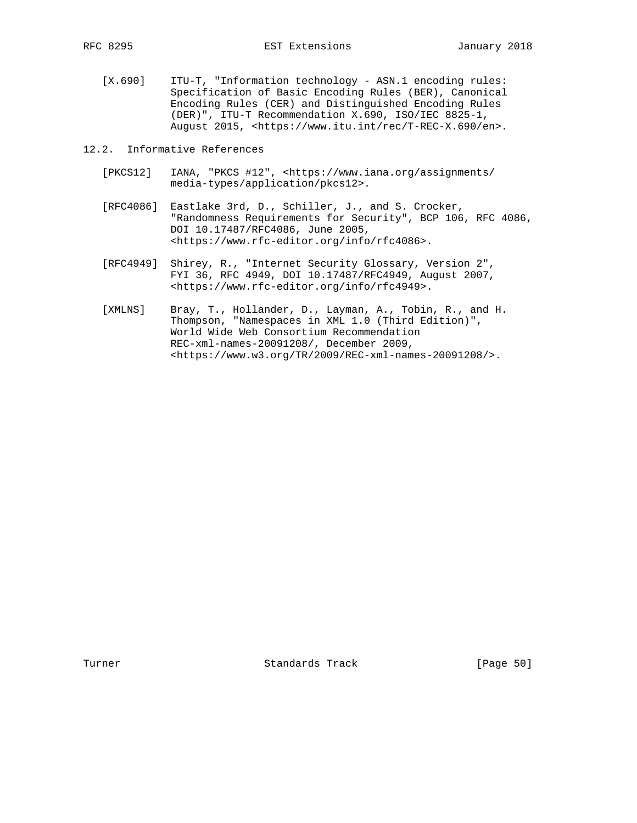[X.690] ITU-T, "Information technology - ASN.1 encoding rules: Specification of Basic Encoding Rules (BER), Canonical Encoding Rules (CER) and Distinguished Encoding Rules (DER)", ITU-T Recommendation X.690, ISO/IEC 8825-1, August 2015, <https://www.itu.int/rec/T-REC-X.690/en>.

12.2. Informative References

- [PKCS12] IANA, "PKCS #12", <https://www.iana.org/assignments/ media-types/application/pkcs12>.
- [RFC4086] Eastlake 3rd, D., Schiller, J., and S. Crocker, "Randomness Requirements for Security", BCP 106, RFC 4086, DOI 10.17487/RFC4086, June 2005, <https://www.rfc-editor.org/info/rfc4086>.
- [RFC4949] Shirey, R., "Internet Security Glossary, Version 2", FYI 36, RFC 4949, DOI 10.17487/RFC4949, August 2007, <https://www.rfc-editor.org/info/rfc4949>.
- [XMLNS] Bray, T., Hollander, D., Layman, A., Tobin, R., and H. Thompson, "Namespaces in XML 1.0 (Third Edition)", World Wide Web Consortium Recommendation REC-xml-names-20091208/, December 2009, <https://www.w3.org/TR/2009/REC-xml-names-20091208/>.

Turner **Standards Track** [Page 50]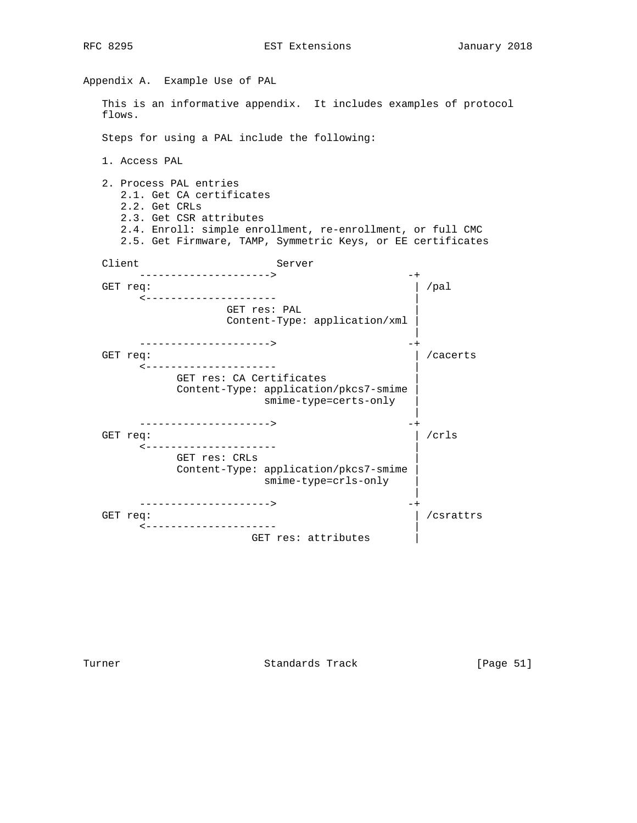Appendix A. Example Use of PAL This is an informative appendix. It includes examples of protocol flows. Steps for using a PAL include the following: 1. Access PAL 2. Process PAL entries 2.1. Get CA certificates 2.2. Get CRLs 2.3. Get CSR attributes 2.4. Enroll: simple enrollment, re-enrollment, or full CMC 2.5. Get Firmware, TAMP, Symmetric Keys, or EE certificates Client Server ---------------------> -+ GET req:  $|$  /pal <--------------------- | GET res: PAL | Content-Type: application/xml | | --------------------> GET req:  $\vert$  /cacerts <--------------------- | GET res: CA Certificates Content-Type: application/pkcs7-smime | smime-type=certs-only | | ---------------------> -+ GET req:  $| /crls$  <--------------------- | GET res: CRLs | Content-Type: application/pkcs7-smime | smime-type=crls-only | | -------------------> GET req:  $|$  /csrattrs <--------------------- | GET res: attributes |

Turner Standards Track [Page 51]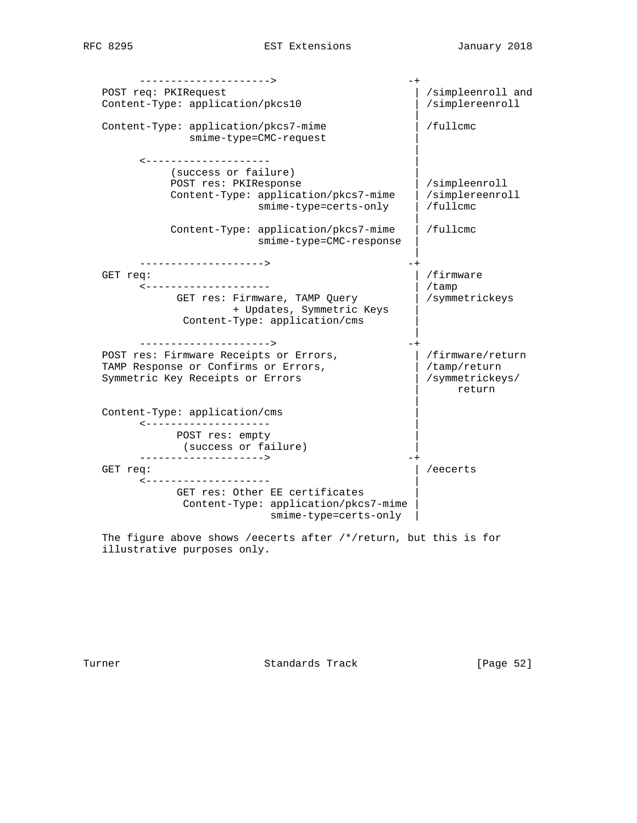| --------------------->                    |                           |
|-------------------------------------------|---------------------------|
| POST req: PKIRequest                      | /simpleenroll and         |
| Content-Type: application/pkcs10          | /simplereenroll           |
| Content-Type: application/pkcs7-mime      | /fullcmc                  |
| smime-type=CMC-request                    |                           |
| <--------------------                     |                           |
| (success or failure)                      |                           |
| POST res: PKIResponse                     | /simpleenroll             |
| Content-Type: application/pkcs7-mime      | /simplereenroll           |
| smime-type=certs-only                     | /fullcmc                  |
| Content-Type: application/pkcs7-mime      | /fullcmc                  |
| smime-type=CMC-response                   |                           |
| -------------------->                     |                           |
| GET req:                                  | /firmware                 |
| --------------------                      | /tamp                     |
| GET res: Firmware, TAMP Query             | /symmetrickeys            |
| + Updates, Symmetric Keys                 |                           |
| Content-Type: application/cms             |                           |
| --------------------->                    |                           |
| POST res: Firmware Receipts or Errors,    | /firmware/return          |
| TAMP Response or Confirms or Errors,      | /tamp/return              |
| Symmetric Key Receipts or Errors          | /symmetrickeys/<br>return |
| Content-Type: application/cms             |                           |
| <---------------------<br>POST res: empty |                           |
| (success or failure)                      |                           |
| --------------------><br>GET req:         | /eecerts                  |
| --------------------                      |                           |
| GET res: Other EE certificates            |                           |
| Content-Type: application/pkcs7-mime      |                           |
| smime-type=certs-only                     |                           |

 The figure above shows /eecerts after /\*/return, but this is for illustrative purposes only.

Turner **Standards Track** [Page 52]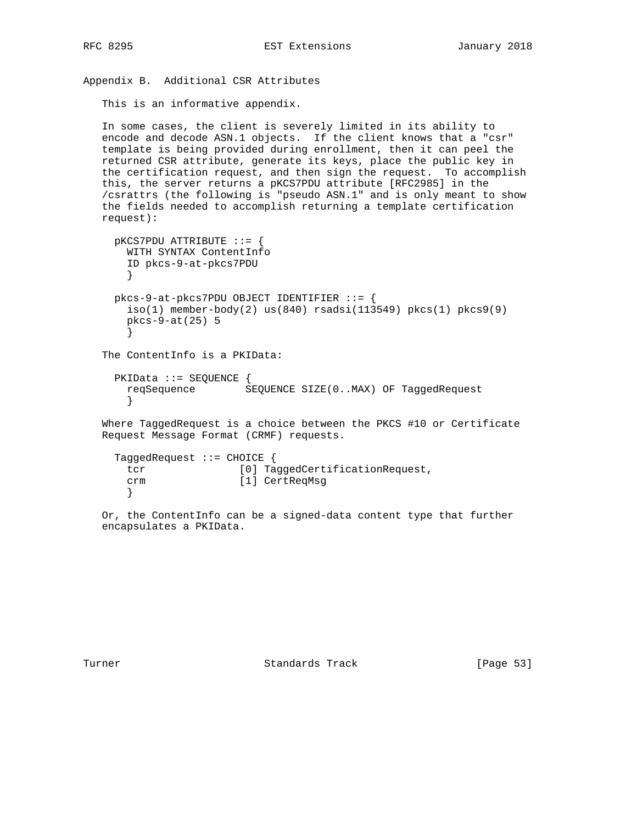```
Appendix B. Additional CSR Attributes
    This is an informative appendix.
    In some cases, the client is severely limited in its ability to
    encode and decode ASN.1 objects. If the client knows that a "csr"
    template is being provided during enrollment, then it can peel the
    returned CSR attribute, generate its keys, place the public key in
```
 the certification request, and then sign the request. To accomplish this, the server returns a pKCS7PDU attribute [RFC2985] in the /csrattrs (the following is "pseudo ASN.1" and is only meant to show the fields needed to accomplish returning a template certification request):

```
 pKCS7PDU ATTRIBUTE ::= {
    WITH SYNTAX ContentInfo
     ID pkcs-9-at-pkcs7PDU
     }
   pkcs-9-at-pkcs7PDU OBJECT IDENTIFIER ::= {
    iso(1) member-body(2) us(840) rsadsi(113549) pkcs(1) pkcs9(9)
    pkcs-9-at(25) 5
     }
 The ContentInfo is a PKIData:
   PKIData ::= SEQUENCE {
    reqSequence SEQUENCE SIZE(0..MAX) OF TaggedRequest
     }
 Where TaggedRequest is a choice between the PKCS #10 or Certificate
 Request Message Format (CRMF) requests.
```

```
 TaggedRequest ::= CHOICE {
  tcr [0] TaggedCertificationRequest,
  crm [1] CertReqMsg
  }
```
 Or, the ContentInfo can be a signed-data content type that further encapsulates a PKIData.

Turner Standards Track [Page 53]